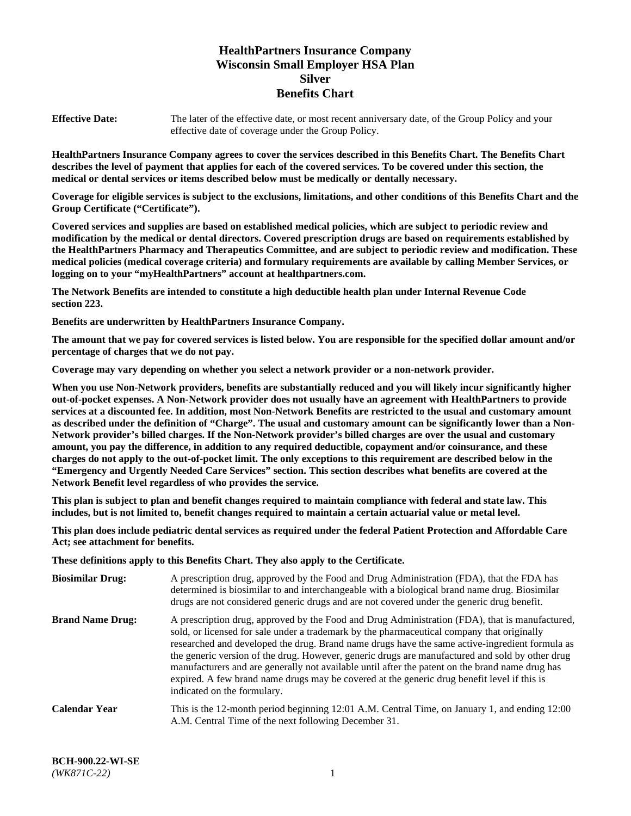# **HealthPartners Insurance Company Wisconsin Small Employer HSA Plan Silver Benefits Chart**

**Effective Date:** The later of the effective date, or most recent anniversary date, of the Group Policy and your effective date of coverage under the Group Policy.

**HealthPartners Insurance Company agrees to cover the services described in this Benefits Chart. The Benefits Chart describes the level of payment that applies for each of the covered services. To be covered under this section, the medical or dental services or items described below must be medically or dentally necessary.**

**Coverage for eligible services is subject to the exclusions, limitations, and other conditions of this Benefits Chart and the Group Certificate ("Certificate").**

**Covered services and supplies are based on established medical policies, which are subject to periodic review and modification by the medical or dental directors. Covered prescription drugs are based on requirements established by the HealthPartners Pharmacy and Therapeutics Committee, and are subject to periodic review and modification. These medical policies (medical coverage criteria) and formulary requirements are available by calling Member Services, or logging on to your "myHealthPartners" account at [healthpartners.com.](https://www.healthpartners.com/hp/index.html)** 

**The Network Benefits are intended to constitute a high deductible health plan under Internal Revenue Code section 223.**

**Benefits are underwritten by HealthPartners Insurance Company.**

**The amount that we pay for covered services is listed below. You are responsible for the specified dollar amount and/or percentage of charges that we do not pay.**

**Coverage may vary depending on whether you select a network provider or a non-network provider.**

**When you use Non-Network providers, benefits are substantially reduced and you will likely incur significantly higher out-of-pocket expenses. A Non-Network provider does not usually have an agreement with HealthPartners to provide services at a discounted fee. In addition, most Non-Network Benefits are restricted to the usual and customary amount as described under the definition of "Charge". The usual and customary amount can be significantly lower than a Non-Network provider's billed charges. If the Non-Network provider's billed charges are over the usual and customary amount, you pay the difference, in addition to any required deductible, copayment and/or coinsurance, and these charges do not apply to the out-of-pocket limit. The only exceptions to this requirement are described below in the "Emergency and Urgently Needed Care Services" section. This section describes what benefits are covered at the Network Benefit level regardless of who provides the service.**

**This plan is subject to plan and benefit changes required to maintain compliance with federal and state law. This includes, but is not limited to, benefit changes required to maintain a certain actuarial value or metal level.**

**This plan does include pediatric dental services as required under the federal Patient Protection and Affordable Care Act; see attachment for benefits.**

**These definitions apply to this Benefits Chart. They also apply to the Certificate.**

| <b>Biosimilar Drug:</b> | A prescription drug, approved by the Food and Drug Administration (FDA), that the FDA has<br>determined is biosimilar to and interchangeable with a biological brand name drug. Biosimilar<br>drugs are not considered generic drugs and are not covered under the generic drug benefit.                                                                                                                                                                                                                                                                                                                                           |
|-------------------------|------------------------------------------------------------------------------------------------------------------------------------------------------------------------------------------------------------------------------------------------------------------------------------------------------------------------------------------------------------------------------------------------------------------------------------------------------------------------------------------------------------------------------------------------------------------------------------------------------------------------------------|
| <b>Brand Name Drug:</b> | A prescription drug, approved by the Food and Drug Administration (FDA), that is manufactured,<br>sold, or licensed for sale under a trademark by the pharmaceutical company that originally<br>researched and developed the drug. Brand name drugs have the same active-ingredient formula as<br>the generic version of the drug. However, generic drugs are manufactured and sold by other drug<br>manufacturers and are generally not available until after the patent on the brand name drug has<br>expired. A few brand name drugs may be covered at the generic drug benefit level if this is<br>indicated on the formulary. |
| <b>Calendar Year</b>    | This is the 12-month period beginning 12:01 A.M. Central Time, on January 1, and ending 12:00<br>A.M. Central Time of the next following December 31.                                                                                                                                                                                                                                                                                                                                                                                                                                                                              |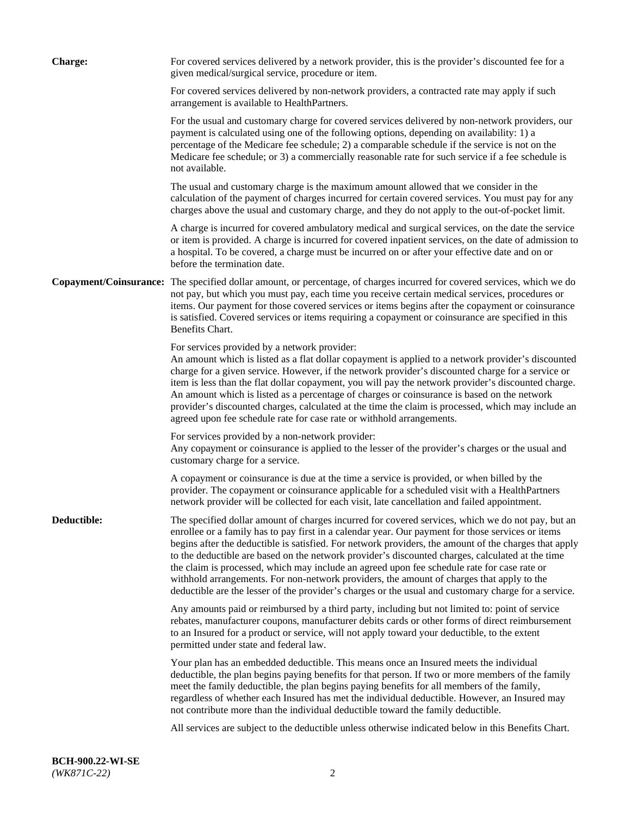| <b>Charge:</b> | For covered services delivered by a network provider, this is the provider's discounted fee for a<br>given medical/surgical service, procedure or item.                                                                                                                                                                                                                                                                                                                                                                                                                                                                                                                                                                 |
|----------------|-------------------------------------------------------------------------------------------------------------------------------------------------------------------------------------------------------------------------------------------------------------------------------------------------------------------------------------------------------------------------------------------------------------------------------------------------------------------------------------------------------------------------------------------------------------------------------------------------------------------------------------------------------------------------------------------------------------------------|
|                | For covered services delivered by non-network providers, a contracted rate may apply if such<br>arrangement is available to HealthPartners.                                                                                                                                                                                                                                                                                                                                                                                                                                                                                                                                                                             |
|                | For the usual and customary charge for covered services delivered by non-network providers, our<br>payment is calculated using one of the following options, depending on availability: 1) a<br>percentage of the Medicare fee schedule; 2) a comparable schedule if the service is not on the<br>Medicare fee schedule; or 3) a commercially reasonable rate for such service if a fee schedule is<br>not available.                                                                                                                                                                                                                                                                                                   |
|                | The usual and customary charge is the maximum amount allowed that we consider in the<br>calculation of the payment of charges incurred for certain covered services. You must pay for any<br>charges above the usual and customary charge, and they do not apply to the out-of-pocket limit.                                                                                                                                                                                                                                                                                                                                                                                                                            |
|                | A charge is incurred for covered ambulatory medical and surgical services, on the date the service<br>or item is provided. A charge is incurred for covered inpatient services, on the date of admission to<br>a hospital. To be covered, a charge must be incurred on or after your effective date and on or<br>before the termination date.                                                                                                                                                                                                                                                                                                                                                                           |
|                | Copayment/Coinsurance: The specified dollar amount, or percentage, of charges incurred for covered services, which we do<br>not pay, but which you must pay, each time you receive certain medical services, procedures or<br>items. Our payment for those covered services or items begins after the copayment or coinsurance<br>is satisfied. Covered services or items requiring a copayment or coinsurance are specified in this<br>Benefits Chart.                                                                                                                                                                                                                                                                 |
|                | For services provided by a network provider:<br>An amount which is listed as a flat dollar copayment is applied to a network provider's discounted<br>charge for a given service. However, if the network provider's discounted charge for a service or<br>item is less than the flat dollar copayment, you will pay the network provider's discounted charge.<br>An amount which is listed as a percentage of charges or coinsurance is based on the network<br>provider's discounted charges, calculated at the time the claim is processed, which may include an<br>agreed upon fee schedule rate for case rate or withhold arrangements.                                                                            |
|                | For services provided by a non-network provider:<br>Any copayment or coinsurance is applied to the lesser of the provider's charges or the usual and<br>customary charge for a service.                                                                                                                                                                                                                                                                                                                                                                                                                                                                                                                                 |
|                | A copayment or coinsurance is due at the time a service is provided, or when billed by the<br>provider. The copayment or coinsurance applicable for a scheduled visit with a HealthPartners<br>network provider will be collected for each visit, late cancellation and failed appointment.                                                                                                                                                                                                                                                                                                                                                                                                                             |
| Deductible:    | The specified dollar amount of charges incurred for covered services, which we do not pay, but an<br>enrollee or a family has to pay first in a calendar year. Our payment for those services or items<br>begins after the deductible is satisfied. For network providers, the amount of the charges that apply<br>to the deductible are based on the network provider's discounted charges, calculated at the time<br>the claim is processed, which may include an agreed upon fee schedule rate for case rate or<br>withhold arrangements. For non-network providers, the amount of charges that apply to the<br>deductible are the lesser of the provider's charges or the usual and customary charge for a service. |
|                | Any amounts paid or reimbursed by a third party, including but not limited to: point of service<br>rebates, manufacturer coupons, manufacturer debits cards or other forms of direct reimbursement<br>to an Insured for a product or service, will not apply toward your deductible, to the extent<br>permitted under state and federal law.                                                                                                                                                                                                                                                                                                                                                                            |
|                | Your plan has an embedded deductible. This means once an Insured meets the individual<br>deductible, the plan begins paying benefits for that person. If two or more members of the family<br>meet the family deductible, the plan begins paying benefits for all members of the family,<br>regardless of whether each Insured has met the individual deductible. However, an Insured may<br>not contribute more than the individual deductible toward the family deductible.                                                                                                                                                                                                                                           |
|                | All services are subject to the deductible unless otherwise indicated below in this Benefits Chart.                                                                                                                                                                                                                                                                                                                                                                                                                                                                                                                                                                                                                     |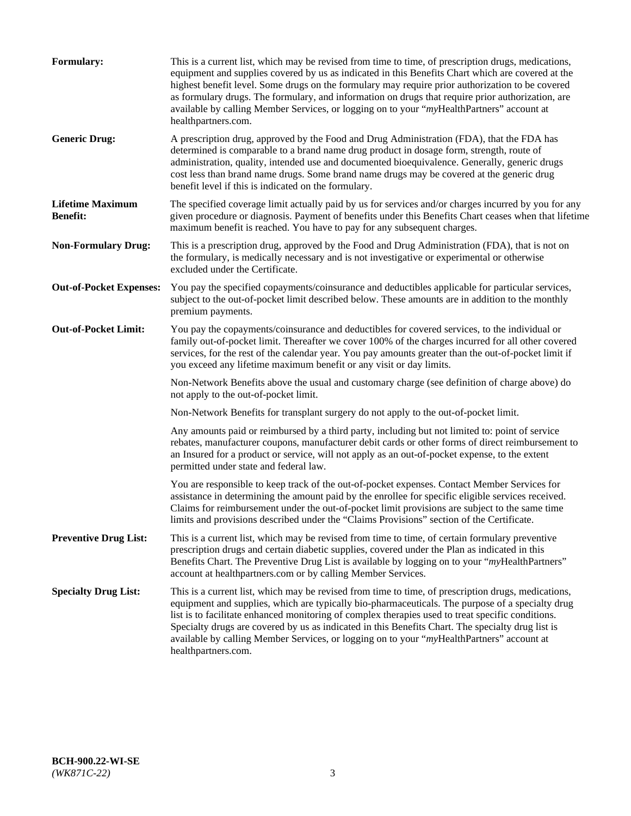| Formulary:                                 | This is a current list, which may be revised from time to time, of prescription drugs, medications,<br>equipment and supplies covered by us as indicated in this Benefits Chart which are covered at the<br>highest benefit level. Some drugs on the formulary may require prior authorization to be covered<br>as formulary drugs. The formulary, and information on drugs that require prior authorization, are<br>available by calling Member Services, or logging on to your "myHealthPartners" account at<br>healthpartners.com. |
|--------------------------------------------|---------------------------------------------------------------------------------------------------------------------------------------------------------------------------------------------------------------------------------------------------------------------------------------------------------------------------------------------------------------------------------------------------------------------------------------------------------------------------------------------------------------------------------------|
| <b>Generic Drug:</b>                       | A prescription drug, approved by the Food and Drug Administration (FDA), that the FDA has<br>determined is comparable to a brand name drug product in dosage form, strength, route of<br>administration, quality, intended use and documented bioequivalence. Generally, generic drugs<br>cost less than brand name drugs. Some brand name drugs may be covered at the generic drug<br>benefit level if this is indicated on the formulary.                                                                                           |
| <b>Lifetime Maximum</b><br><b>Benefit:</b> | The specified coverage limit actually paid by us for services and/or charges incurred by you for any<br>given procedure or diagnosis. Payment of benefits under this Benefits Chart ceases when that lifetime<br>maximum benefit is reached. You have to pay for any subsequent charges.                                                                                                                                                                                                                                              |
| <b>Non-Formulary Drug:</b>                 | This is a prescription drug, approved by the Food and Drug Administration (FDA), that is not on<br>the formulary, is medically necessary and is not investigative or experimental or otherwise<br>excluded under the Certificate.                                                                                                                                                                                                                                                                                                     |
| <b>Out-of-Pocket Expenses:</b>             | You pay the specified copayments/coinsurance and deductibles applicable for particular services,<br>subject to the out-of-pocket limit described below. These amounts are in addition to the monthly<br>premium payments.                                                                                                                                                                                                                                                                                                             |
| <b>Out-of-Pocket Limit:</b>                | You pay the copayments/coinsurance and deductibles for covered services, to the individual or<br>family out-of-pocket limit. Thereafter we cover 100% of the charges incurred for all other covered<br>services, for the rest of the calendar year. You pay amounts greater than the out-of-pocket limit if<br>you exceed any lifetime maximum benefit or any visit or day limits.                                                                                                                                                    |
|                                            | Non-Network Benefits above the usual and customary charge (see definition of charge above) do<br>not apply to the out-of-pocket limit.                                                                                                                                                                                                                                                                                                                                                                                                |
|                                            | Non-Network Benefits for transplant surgery do not apply to the out-of-pocket limit.                                                                                                                                                                                                                                                                                                                                                                                                                                                  |
|                                            | Any amounts paid or reimbursed by a third party, including but not limited to: point of service<br>rebates, manufacturer coupons, manufacturer debit cards or other forms of direct reimbursement to<br>an Insured for a product or service, will not apply as an out-of-pocket expense, to the extent<br>permitted under state and federal law.                                                                                                                                                                                      |
|                                            | You are responsible to keep track of the out-of-pocket expenses. Contact Member Services for<br>assistance in determining the amount paid by the enrollee for specific eligible services received.<br>Claims for reimbursement under the out-of-pocket limit provisions are subject to the same time<br>limits and provisions described under the "Claims Provisions" section of the Certificate.                                                                                                                                     |
| <b>Preventive Drug List:</b>               | This is a current list, which may be revised from time to time, of certain formulary preventive<br>prescription drugs and certain diabetic supplies, covered under the Plan as indicated in this<br>Benefits Chart. The Preventive Drug List is available by logging on to your "myHealthPartners"<br>account at healthpartners.com or by calling Member Services.                                                                                                                                                                    |
| <b>Specialty Drug List:</b>                | This is a current list, which may be revised from time to time, of prescription drugs, medications,<br>equipment and supplies, which are typically bio-pharmaceuticals. The purpose of a specialty drug<br>list is to facilitate enhanced monitoring of complex therapies used to treat specific conditions.<br>Specialty drugs are covered by us as indicated in this Benefits Chart. The specialty drug list is<br>available by calling Member Services, or logging on to your "myHealthPartners" account at<br>healthpartners.com. |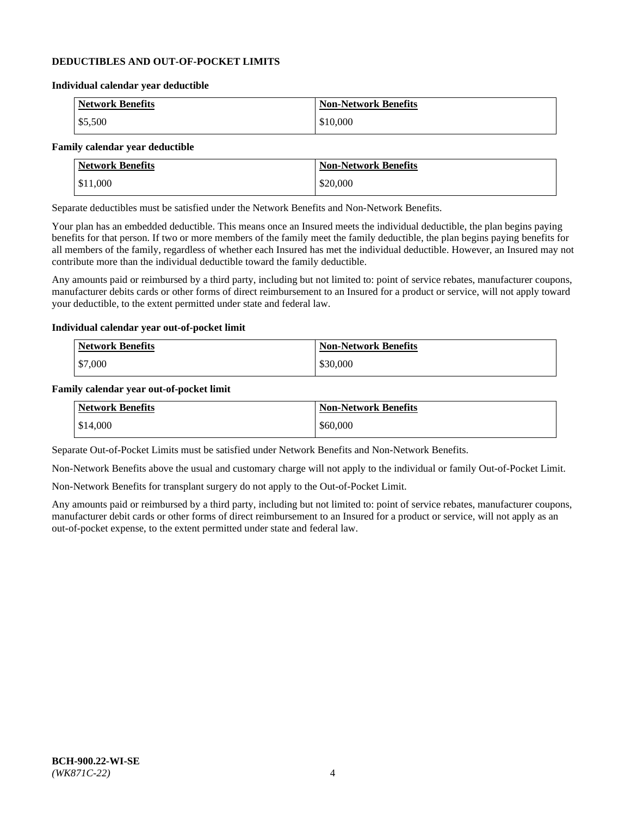## **DEDUCTIBLES AND OUT-OF-POCKET LIMITS**

### **Individual calendar year deductible**

| <b>Network Benefits</b> | <b>Non-Network Benefits</b> |
|-------------------------|-----------------------------|
| \$5,500                 | \$10,000                    |

## **Family calendar year deductible**

| <b>Network Benefits</b> | <b>Non-Network Benefits</b> |
|-------------------------|-----------------------------|
| \$11,000                | \$20,000                    |

Separate deductibles must be satisfied under the Network Benefits and Non-Network Benefits.

Your plan has an embedded deductible. This means once an Insured meets the individual deductible, the plan begins paying benefits for that person. If two or more members of the family meet the family deductible, the plan begins paying benefits for all members of the family, regardless of whether each Insured has met the individual deductible. However, an Insured may not contribute more than the individual deductible toward the family deductible.

Any amounts paid or reimbursed by a third party, including but not limited to: point of service rebates, manufacturer coupons, manufacturer debits cards or other forms of direct reimbursement to an Insured for a product or service, will not apply toward your deductible, to the extent permitted under state and federal law.

### **Individual calendar year out-of-pocket limit**

| Network Benefits | <b>Non-Network Benefits</b> |
|------------------|-----------------------------|
| \$7,000          | \$30,000                    |

### **Family calendar year out-of-pocket limit**

| <b>Network Benefits</b> | <b>Non-Network Benefits</b> |
|-------------------------|-----------------------------|
| \$14,000                | \$60,000                    |

Separate Out-of-Pocket Limits must be satisfied under Network Benefits and Non-Network Benefits.

Non-Network Benefits above the usual and customary charge will not apply to the individual or family Out-of-Pocket Limit.

Non-Network Benefits for transplant surgery do not apply to the Out-of-Pocket Limit.

Any amounts paid or reimbursed by a third party, including but not limited to: point of service rebates, manufacturer coupons, manufacturer debit cards or other forms of direct reimbursement to an Insured for a product or service, will not apply as an out-of-pocket expense, to the extent permitted under state and federal law.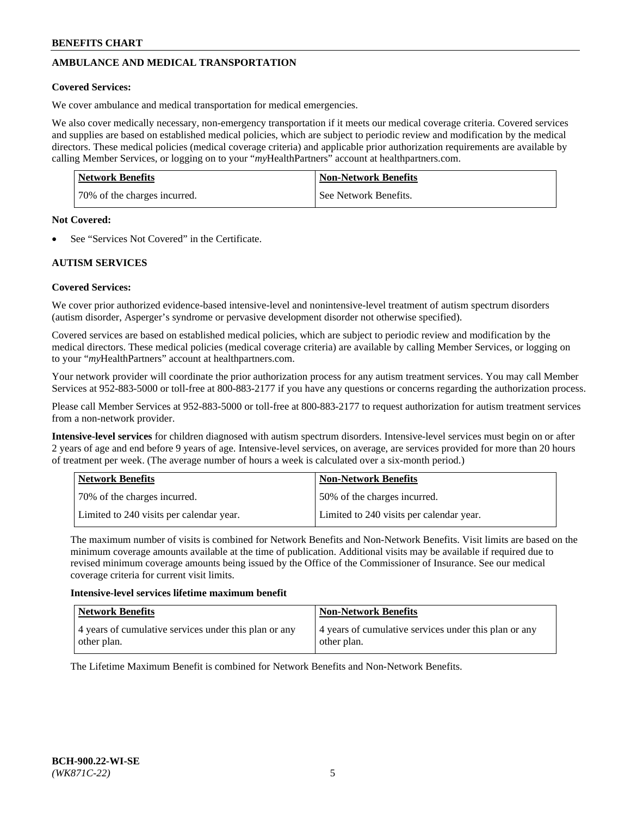# **AMBULANCE AND MEDICAL TRANSPORTATION**

## **Covered Services:**

We cover ambulance and medical transportation for medical emergencies.

We also cover medically necessary, non-emergency transportation if it meets our medical coverage criteria. Covered services and supplies are based on established medical policies, which are subject to periodic review and modification by the medical directors. These medical policies (medical coverage criteria) and applicable prior authorization requirements are available by calling Member Services, or logging on to your "*my*HealthPartners" account a[t healthpartners.com.](https://www.healthpartners.com/hp/index.html)

| <b>Network Benefits</b>      | <b>Non-Network Benefits</b> |
|------------------------------|-----------------------------|
| 70% of the charges incurred. | See Network Benefits.       |

### **Not Covered:**

See "Services Not Covered" in the Certificate.

# **AUTISM SERVICES**

## **Covered Services:**

We cover prior authorized evidence-based intensive-level and nonintensive-level treatment of autism spectrum disorders (autism disorder, Asperger's syndrome or pervasive development disorder not otherwise specified).

Covered services are based on established medical policies, which are subject to periodic review and modification by the medical directors. These medical policies (medical coverage criteria) are available by calling Member Services, or logging on to your "*my*HealthPartners" account at [healthpartners.com.](https://www.healthpartners.com/hp/index.html)

Your network provider will coordinate the prior authorization process for any autism treatment services. You may call Member Services at 952-883-5000 or toll-free at 800-883-2177 if you have any questions or concerns regarding the authorization process.

Please call Member Services at 952-883-5000 or toll-free at 800-883-2177 to request authorization for autism treatment services from a non-network provider.

**Intensive-level services** for children diagnosed with autism spectrum disorders. Intensive-level services must begin on or after 2 years of age and end before 9 years of age. Intensive-level services, on average, are services provided for more than 20 hours of treatment per week. (The average number of hours a week is calculated over a six-month period.)

| Network Benefits                         | <b>Non-Network Benefits</b>              |
|------------------------------------------|------------------------------------------|
| 70% of the charges incurred.             | 50% of the charges incurred.             |
| Limited to 240 visits per calendar year. | Limited to 240 visits per calendar year. |

The maximum number of visits is combined for Network Benefits and Non-Network Benefits. Visit limits are based on the minimum coverage amounts available at the time of publication. Additional visits may be available if required due to revised minimum coverage amounts being issued by the Office of the Commissioner of Insurance. See our medical coverage criteria for current visit limits.

### **Intensive-level services lifetime maximum benefit**

| Network Benefits                                                     | <b>Non-Network Benefits</b>                                          |
|----------------------------------------------------------------------|----------------------------------------------------------------------|
| 4 years of cumulative services under this plan or any<br>other plan. | 4 years of cumulative services under this plan or any<br>other plan. |

The Lifetime Maximum Benefit is combined for Network Benefits and Non-Network Benefits.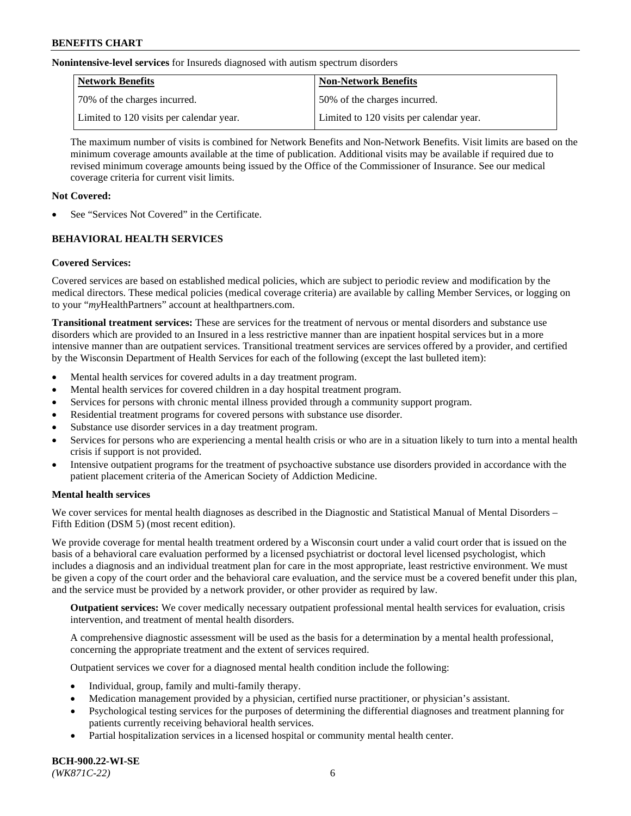**Nonintensive-level services** for Insureds diagnosed with autism spectrum disorders

| Network Benefits                         | <b>Non-Network Benefits</b>              |
|------------------------------------------|------------------------------------------|
| 70% of the charges incurred.             | 50% of the charges incurred.             |
| Limited to 120 visits per calendar year. | Limited to 120 visits per calendar year. |

The maximum number of visits is combined for Network Benefits and Non-Network Benefits. Visit limits are based on the minimum coverage amounts available at the time of publication. Additional visits may be available if required due to revised minimum coverage amounts being issued by the Office of the Commissioner of Insurance. See our medical coverage criteria for current visit limits.

## **Not Covered:**

See "Services Not Covered" in the Certificate.

# **BEHAVIORAL HEALTH SERVICES**

## **Covered Services:**

Covered services are based on established medical policies, which are subject to periodic review and modification by the medical directors. These medical policies (medical coverage criteria) are available by calling Member Services, or logging on to your "*my*HealthPartners" account at [healthpartners.com.](https://www.healthpartners.com/hp/index.html)

**Transitional treatment services:** These are services for the treatment of nervous or mental disorders and substance use disorders which are provided to an Insured in a less restrictive manner than are inpatient hospital services but in a more intensive manner than are outpatient services. Transitional treatment services are services offered by a provider, and certified by the Wisconsin Department of Health Services for each of the following (except the last bulleted item):

- Mental health services for covered adults in a day treatment program.
- Mental health services for covered children in a day hospital treatment program.
- Services for persons with chronic mental illness provided through a community support program.
- Residential treatment programs for covered persons with substance use disorder.
- Substance use disorder services in a day treatment program.
- Services for persons who are experiencing a mental health crisis or who are in a situation likely to turn into a mental health crisis if support is not provided.
- Intensive outpatient programs for the treatment of psychoactive substance use disorders provided in accordance with the patient placement criteria of the American Society of Addiction Medicine.

## **Mental health services**

We cover services for mental health diagnoses as described in the Diagnostic and Statistical Manual of Mental Disorders – Fifth Edition (DSM 5) (most recent edition).

We provide coverage for mental health treatment ordered by a Wisconsin court under a valid court order that is issued on the basis of a behavioral care evaluation performed by a licensed psychiatrist or doctoral level licensed psychologist, which includes a diagnosis and an individual treatment plan for care in the most appropriate, least restrictive environment. We must be given a copy of the court order and the behavioral care evaluation, and the service must be a covered benefit under this plan, and the service must be provided by a network provider, or other provider as required by law.

**Outpatient services:** We cover medically necessary outpatient professional mental health services for evaluation, crisis intervention, and treatment of mental health disorders.

A comprehensive diagnostic assessment will be used as the basis for a determination by a mental health professional, concerning the appropriate treatment and the extent of services required.

Outpatient services we cover for a diagnosed mental health condition include the following:

- Individual, group, family and multi-family therapy.
- Medication management provided by a physician, certified nurse practitioner, or physician's assistant.
- Psychological testing services for the purposes of determining the differential diagnoses and treatment planning for patients currently receiving behavioral health services.
- Partial hospitalization services in a licensed hospital or community mental health center.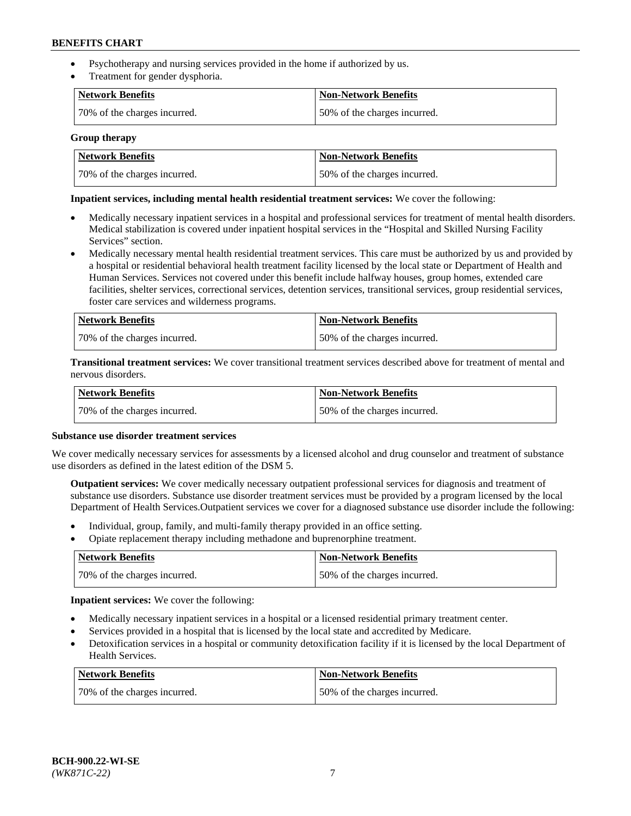- Psychotherapy and nursing services provided in the home if authorized by us.
- Treatment for gender dysphoria.

| Network Benefits             | <b>Non-Network Benefits</b>  |
|------------------------------|------------------------------|
| 70% of the charges incurred. | 50% of the charges incurred. |

### **Group therapy**

| Network Benefits             | <b>Non-Network Benefits</b>  |
|------------------------------|------------------------------|
| 70% of the charges incurred. | 50% of the charges incurred. |

## **Inpatient services, including mental health residential treatment services:** We cover the following:

- Medically necessary inpatient services in a hospital and professional services for treatment of mental health disorders. Medical stabilization is covered under inpatient hospital services in the "Hospital and Skilled Nursing Facility Services" section.
- Medically necessary mental health residential treatment services. This care must be authorized by us and provided by a hospital or residential behavioral health treatment facility licensed by the local state or Department of Health and Human Services. Services not covered under this benefit include halfway houses, group homes, extended care facilities, shelter services, correctional services, detention services, transitional services, group residential services, foster care services and wilderness programs.

| Network Benefits             | <b>Non-Network Benefits</b>  |
|------------------------------|------------------------------|
| 70% of the charges incurred. | 50% of the charges incurred. |

**Transitional treatment services:** We cover transitional treatment services described above for treatment of mental and nervous disorders.

| Network Benefits             | Non-Network Benefits         |
|------------------------------|------------------------------|
| 70% of the charges incurred. | 50% of the charges incurred. |

### **Substance use disorder treatment services**

We cover medically necessary services for assessments by a licensed alcohol and drug counselor and treatment of substance use disorders as defined in the latest edition of the DSM 5.

**Outpatient services:** We cover medically necessary outpatient professional services for diagnosis and treatment of substance use disorders. Substance use disorder treatment services must be provided by a program licensed by the local Department of Health Services.Outpatient services we cover for a diagnosed substance use disorder include the following:

- Individual, group, family, and multi-family therapy provided in an office setting.
- Opiate replacement therapy including methadone and buprenorphine treatment.

| Network Benefits             | Non-Network Benefits         |
|------------------------------|------------------------------|
| 70% of the charges incurred. | 50% of the charges incurred. |

**Inpatient services:** We cover the following:

- Medically necessary inpatient services in a hospital or a licensed residential primary treatment center.
- Services provided in a hospital that is licensed by the local state and accredited by Medicare.
- Detoxification services in a hospital or community detoxification facility if it is licensed by the local Department of Health Services.

| Network Benefits             | <b>Non-Network Benefits</b>  |
|------------------------------|------------------------------|
| 70% of the charges incurred. | 50% of the charges incurred. |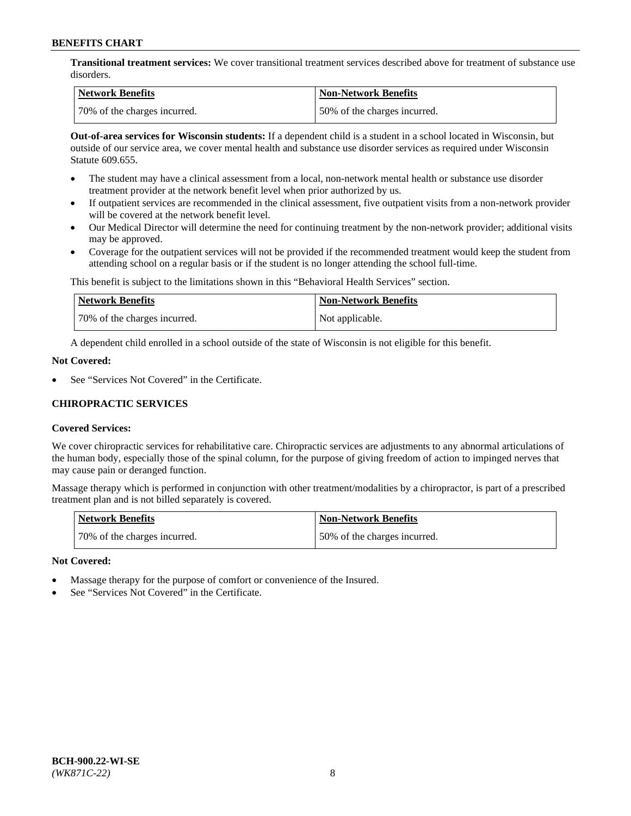**Transitional treatment services:** We cover transitional treatment services described above for treatment of substance use disorders.

| Network Benefits             | <b>Non-Network Benefits</b>  |
|------------------------------|------------------------------|
| 70% of the charges incurred. | 50% of the charges incurred. |

**Out-of-area services for Wisconsin students:** If a dependent child is a student in a school located in Wisconsin, but outside of our service area, we cover mental health and substance use disorder services as required under Wisconsin Statute 609.655.

- The student may have a clinical assessment from a local, non-network mental health or substance use disorder treatment provider at the network benefit level when prior authorized by us.
- If outpatient services are recommended in the clinical assessment, five outpatient visits from a non-network provider will be covered at the network benefit level.
- Our Medical Director will determine the need for continuing treatment by the non-network provider; additional visits may be approved.
- Coverage for the outpatient services will not be provided if the recommended treatment would keep the student from attending school on a regular basis or if the student is no longer attending the school full-time.

This benefit is subject to the limitations shown in this "Behavioral Health Services" section.

| Network Benefits             | <b>Non-Network Benefits</b> |
|------------------------------|-----------------------------|
| 70% of the charges incurred. | Not applicable.             |

A dependent child enrolled in a school outside of the state of Wisconsin is not eligible for this benefit.

## **Not Covered:**

See "Services Not Covered" in the Certificate.

## **CHIROPRACTIC SERVICES**

## **Covered Services:**

We cover chiropractic services for rehabilitative care. Chiropractic services are adjustments to any abnormal articulations of the human body, especially those of the spinal column, for the purpose of giving freedom of action to impinged nerves that may cause pain or deranged function.

Massage therapy which is performed in conjunction with other treatment/modalities by a chiropractor, is part of a prescribed treatment plan and is not billed separately is covered.

| Network Benefits             | Non-Network Benefits         |
|------------------------------|------------------------------|
| 70% of the charges incurred. | 50% of the charges incurred. |

### **Not Covered:**

- Massage therapy for the purpose of comfort or convenience of the Insured.
- See "Services Not Covered" in the Certificate.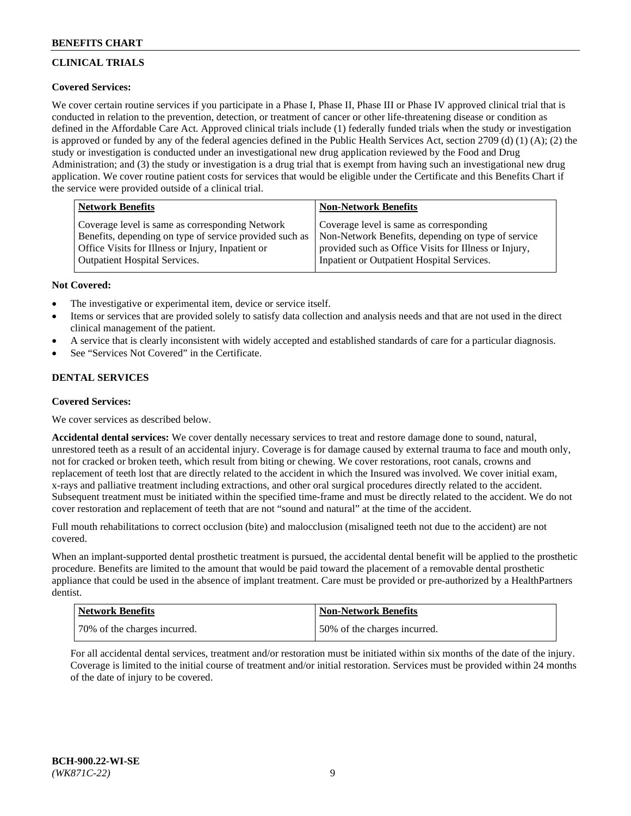# **CLINICAL TRIALS**

## **Covered Services:**

We cover certain routine services if you participate in a Phase I, Phase II, Phase III or Phase IV approved clinical trial that is conducted in relation to the prevention, detection, or treatment of cancer or other life-threatening disease or condition as defined in the Affordable Care Act. Approved clinical trials include (1) federally funded trials when the study or investigation is approved or funded by any of the federal agencies defined in the Public Health Services Act, section 2709 (d) (1) (A); (2) the study or investigation is conducted under an investigational new drug application reviewed by the Food and Drug Administration; and (3) the study or investigation is a drug trial that is exempt from having such an investigational new drug application. We cover routine patient costs for services that would be eligible under the Certificate and this Benefits Chart if the service were provided outside of a clinical trial.

| <b>Network Benefits</b>                                                                                                                                         | <b>Non-Network Benefits</b>                                                                                                                            |
|-----------------------------------------------------------------------------------------------------------------------------------------------------------------|--------------------------------------------------------------------------------------------------------------------------------------------------------|
| Coverage level is same as corresponding Network<br>Benefits, depending on type of service provided such as<br>Office Visits for Illness or Injury, Inpatient or | Coverage level is same as corresponding<br>Non-Network Benefits, depending on type of service<br>provided such as Office Visits for Illness or Injury, |
| <b>Outpatient Hospital Services.</b>                                                                                                                            | Inpatient or Outpatient Hospital Services.                                                                                                             |

## **Not Covered:**

- The investigative or experimental item, device or service itself.
- Items or services that are provided solely to satisfy data collection and analysis needs and that are not used in the direct clinical management of the patient.
- A service that is clearly inconsistent with widely accepted and established standards of care for a particular diagnosis.
- See "Services Not Covered" in the Certificate.

# **DENTAL SERVICES**

## **Covered Services:**

We cover services as described below.

**Accidental dental services:** We cover dentally necessary services to treat and restore damage done to sound, natural, unrestored teeth as a result of an accidental injury. Coverage is for damage caused by external trauma to face and mouth only, not for cracked or broken teeth, which result from biting or chewing. We cover restorations, root canals, crowns and replacement of teeth lost that are directly related to the accident in which the Insured was involved. We cover initial exam, x-rays and palliative treatment including extractions, and other oral surgical procedures directly related to the accident. Subsequent treatment must be initiated within the specified time-frame and must be directly related to the accident. We do not cover restoration and replacement of teeth that are not "sound and natural" at the time of the accident.

Full mouth rehabilitations to correct occlusion (bite) and malocclusion (misaligned teeth not due to the accident) are not covered.

When an implant-supported dental prosthetic treatment is pursued, the accidental dental benefit will be applied to the prosthetic procedure. Benefits are limited to the amount that would be paid toward the placement of a removable dental prosthetic appliance that could be used in the absence of implant treatment. Care must be provided or pre-authorized by a HealthPartners dentist.

| Network Benefits             | <b>Non-Network Benefits</b>  |
|------------------------------|------------------------------|
| 70% of the charges incurred. | 50% of the charges incurred. |

For all accidental dental services, treatment and/or restoration must be initiated within six months of the date of the injury. Coverage is limited to the initial course of treatment and/or initial restoration. Services must be provided within 24 months of the date of injury to be covered.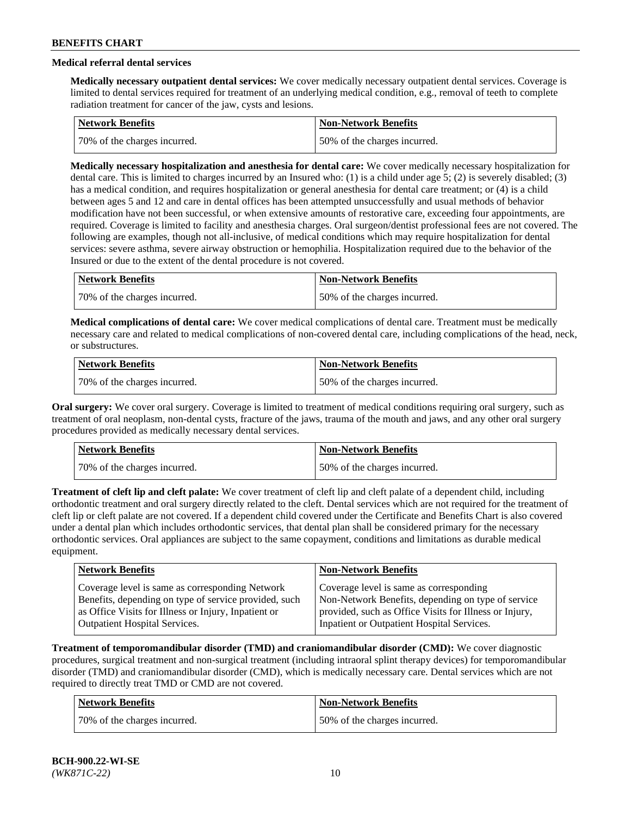# **Medical referral dental services**

**Medically necessary outpatient dental services:** We cover medically necessary outpatient dental services. Coverage is limited to dental services required for treatment of an underlying medical condition, e.g., removal of teeth to complete radiation treatment for cancer of the jaw, cysts and lesions.

| Network Benefits             | <b>Non-Network Benefits</b>  |
|------------------------------|------------------------------|
| 70% of the charges incurred. | 50% of the charges incurred. |

**Medically necessary hospitalization and anesthesia for dental care:** We cover medically necessary hospitalization for dental care. This is limited to charges incurred by an Insured who: (1) is a child under age 5; (2) is severely disabled; (3) has a medical condition, and requires hospitalization or general anesthesia for dental care treatment; or (4) is a child between ages 5 and 12 and care in dental offices has been attempted unsuccessfully and usual methods of behavior modification have not been successful, or when extensive amounts of restorative care, exceeding four appointments, are required. Coverage is limited to facility and anesthesia charges. Oral surgeon/dentist professional fees are not covered. The following are examples, though not all-inclusive, of medical conditions which may require hospitalization for dental services: severe asthma, severe airway obstruction or hemophilia. Hospitalization required due to the behavior of the Insured or due to the extent of the dental procedure is not covered.

| Network Benefits              | <b>Non-Network Benefits</b>  |
|-------------------------------|------------------------------|
| 170% of the charges incurred. | 50% of the charges incurred. |

**Medical complications of dental care:** We cover medical complications of dental care. Treatment must be medically necessary care and related to medical complications of non-covered dental care, including complications of the head, neck, or substructures.

| Network Benefits             | <b>Non-Network Benefits</b>  |
|------------------------------|------------------------------|
| 70% of the charges incurred. | 50% of the charges incurred. |

**Oral surgery:** We cover oral surgery. Coverage is limited to treatment of medical conditions requiring oral surgery, such as treatment of oral neoplasm, non-dental cysts, fracture of the jaws, trauma of the mouth and jaws, and any other oral surgery procedures provided as medically necessary dental services.

| Network Benefits             | <b>Non-Network Benefits</b>  |
|------------------------------|------------------------------|
| 70% of the charges incurred. | 50% of the charges incurred. |

**Treatment of cleft lip and cleft palate:** We cover treatment of cleft lip and cleft palate of a dependent child, including orthodontic treatment and oral surgery directly related to the cleft. Dental services which are not required for the treatment of cleft lip or cleft palate are not covered. If a dependent child covered under the Certificate and Benefits Chart is also covered under a dental plan which includes orthodontic services, that dental plan shall be considered primary for the necessary orthodontic services. Oral appliances are subject to the same copayment, conditions and limitations as durable medical equipment.

| <b>Network Benefits</b>                               | <b>Non-Network Benefits</b>                            |
|-------------------------------------------------------|--------------------------------------------------------|
| Coverage level is same as corresponding Network       | Coverage level is same as corresponding                |
| Benefits, depending on type of service provided, such | Non-Network Benefits, depending on type of service     |
| as Office Visits for Illness or Injury, Inpatient or  | provided, such as Office Visits for Illness or Injury, |
| <b>Outpatient Hospital Services.</b>                  | Inpatient or Outpatient Hospital Services.             |

**Treatment of temporomandibular disorder (TMD) and craniomandibular disorder (CMD):** We cover diagnostic procedures, surgical treatment and non-surgical treatment (including intraoral splint therapy devices) for temporomandibular disorder (TMD) and craniomandibular disorder (CMD), which is medically necessary care. Dental services which are not required to directly treat TMD or CMD are not covered.

| <b>Network Benefits</b>      | <b>Non-Network Benefits</b>  |
|------------------------------|------------------------------|
| 70% of the charges incurred. | 50% of the charges incurred. |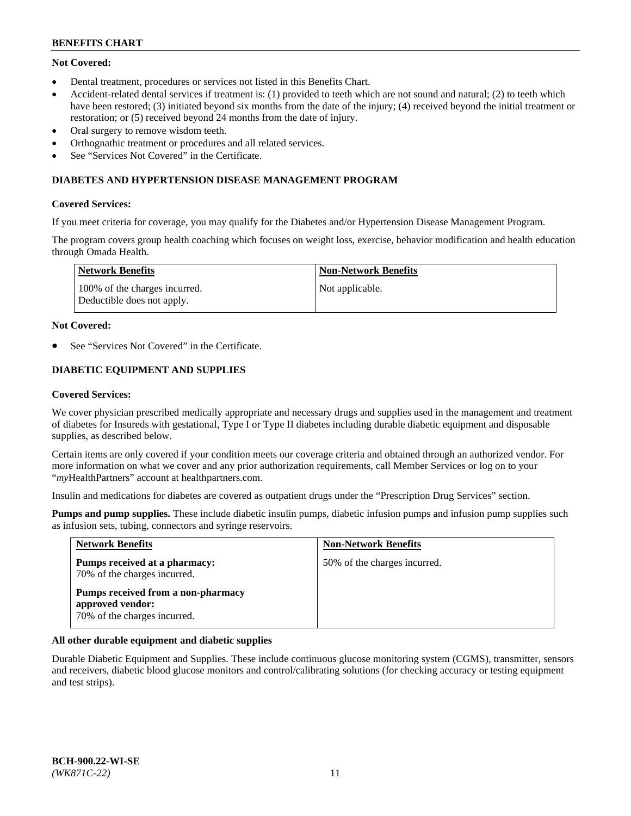# **Not Covered:**

- Dental treatment, procedures or services not listed in this Benefits Chart.
- Accident-related dental services if treatment is: (1) provided to teeth which are not sound and natural; (2) to teeth which have been restored; (3) initiated beyond six months from the date of the injury; (4) received beyond the initial treatment or restoration; or (5) received beyond 24 months from the date of injury.
- Oral surgery to remove wisdom teeth.
- Orthognathic treatment or procedures and all related services.
- See "Services Not Covered" in the Certificate.

## **DIABETES AND HYPERTENSION DISEASE MANAGEMENT PROGRAM**

## **Covered Services:**

If you meet criteria for coverage, you may qualify for the Diabetes and/or Hypertension Disease Management Program.

The program covers group health coaching which focuses on weight loss, exercise, behavior modification and health education through Omada Health.

| <b>Network Benefits</b>                                     | <b>Non-Network Benefits</b> |
|-------------------------------------------------------------|-----------------------------|
| 100% of the charges incurred.<br>Deductible does not apply. | Not applicable.             |

## **Not Covered:**

See "Services Not Covered" in the Certificate.

# **DIABETIC EQUIPMENT AND SUPPLIES**

## **Covered Services:**

We cover physician prescribed medically appropriate and necessary drugs and supplies used in the management and treatment of diabetes for Insureds with gestational, Type I or Type II diabetes including durable diabetic equipment and disposable supplies, as described below.

Certain items are only covered if your condition meets our coverage criteria and obtained through an authorized vendor. For more information on what we cover and any prior authorization requirements, call Member Services or log on to your "*my*HealthPartners" account at [healthpartners.com.](http://www.healthpartners.com/)

Insulin and medications for diabetes are covered as outpatient drugs under the "Prescription Drug Services" section.

**Pumps and pump supplies.** These include diabetic insulin pumps, diabetic infusion pumps and infusion pump supplies such as infusion sets, tubing, connectors and syringe reservoirs.

| <b>Network Benefits</b>                                                                | <b>Non-Network Benefits</b>  |
|----------------------------------------------------------------------------------------|------------------------------|
| Pumps received at a pharmacy:<br>70% of the charges incurred.                          | 50% of the charges incurred. |
| Pumps received from a non-pharmacy<br>approved vendor:<br>70% of the charges incurred. |                              |

## **All other durable equipment and diabetic supplies**

Durable Diabetic Equipment and Supplies. These include continuous glucose monitoring system (CGMS), transmitter, sensors and receivers, diabetic blood glucose monitors and control/calibrating solutions (for checking accuracy or testing equipment and test strips).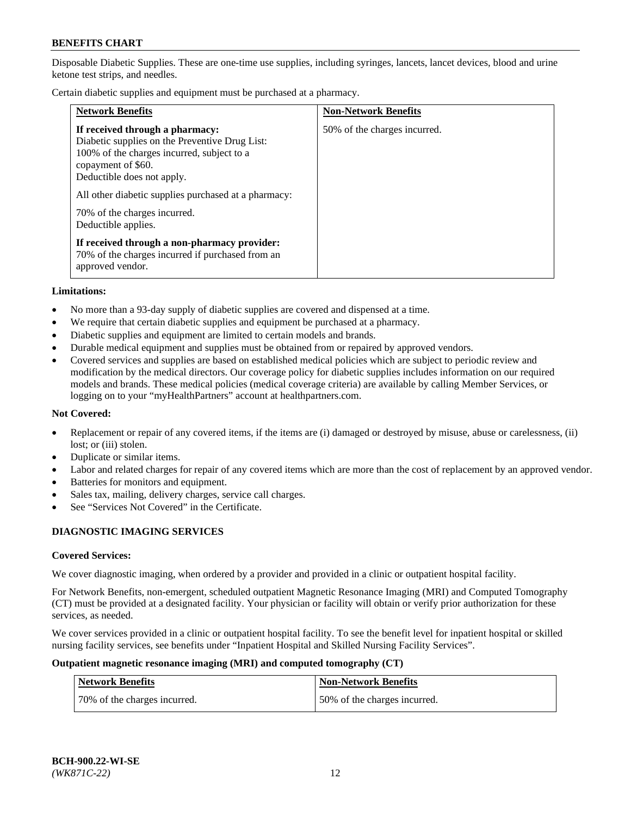Disposable Diabetic Supplies. These are one-time use supplies, including syringes, lancets, lancet devices, blood and urine ketone test strips, and needles.

Certain diabetic supplies and equipment must be purchased at a pharmacy.

| <b>Network Benefits</b>                                                                                                                                                                                                                     | <b>Non-Network Benefits</b>  |
|---------------------------------------------------------------------------------------------------------------------------------------------------------------------------------------------------------------------------------------------|------------------------------|
| If received through a pharmacy:<br>Diabetic supplies on the Preventive Drug List:<br>100% of the charges incurred, subject to a<br>copayment of \$60.<br>Deductible does not apply.<br>All other diabetic supplies purchased at a pharmacy: | 50% of the charges incurred. |
| 70% of the charges incurred.<br>Deductible applies.                                                                                                                                                                                         |                              |
| If received through a non-pharmacy provider:<br>70% of the charges incurred if purchased from an<br>approved vendor.                                                                                                                        |                              |

### **Limitations:**

- No more than a 93-day supply of diabetic supplies are covered and dispensed at a time.
- We require that certain diabetic supplies and equipment be purchased at a pharmacy.
- Diabetic supplies and equipment are limited to certain models and brands.
- Durable medical equipment and supplies must be obtained from or repaired by approved vendors.
- Covered services and supplies are based on established medical policies which are subject to periodic review and modification by the medical directors. Our coverage policy for diabetic supplies includes information on our required models and brands. These medical policies (medical coverage criteria) are available by calling Member Services, or logging on to your "myHealthPartners" account at [healthpartners.com.](http://www.healthpartners.com/)

## **Not Covered:**

- Replacement or repair of any covered items, if the items are (i) damaged or destroyed by misuse, abuse or carelessness, (ii) lost; or (iii) stolen.
- Duplicate or similar items.
- Labor and related charges for repair of any covered items which are more than the cost of replacement by an approved vendor.
- Batteries for monitors and equipment.
- Sales tax, mailing, delivery charges, service call charges.
- See "Services Not Covered" in the Certificate.

## **DIAGNOSTIC IMAGING SERVICES**

### **Covered Services:**

We cover diagnostic imaging, when ordered by a provider and provided in a clinic or outpatient hospital facility.

For Network Benefits, non-emergent, scheduled outpatient Magnetic Resonance Imaging (MRI) and Computed Tomography (CT) must be provided at a designated facility. Your physician or facility will obtain or verify prior authorization for these services, as needed.

We cover services provided in a clinic or outpatient hospital facility. To see the benefit level for inpatient hospital or skilled nursing facility services, see benefits under "Inpatient Hospital and Skilled Nursing Facility Services".

### **Outpatient magnetic resonance imaging (MRI) and computed tomography (CT)**

| <b>Network Benefits</b>      | <b>Non-Network Benefits</b>  |
|------------------------------|------------------------------|
| 70% of the charges incurred. | 50% of the charges incurred. |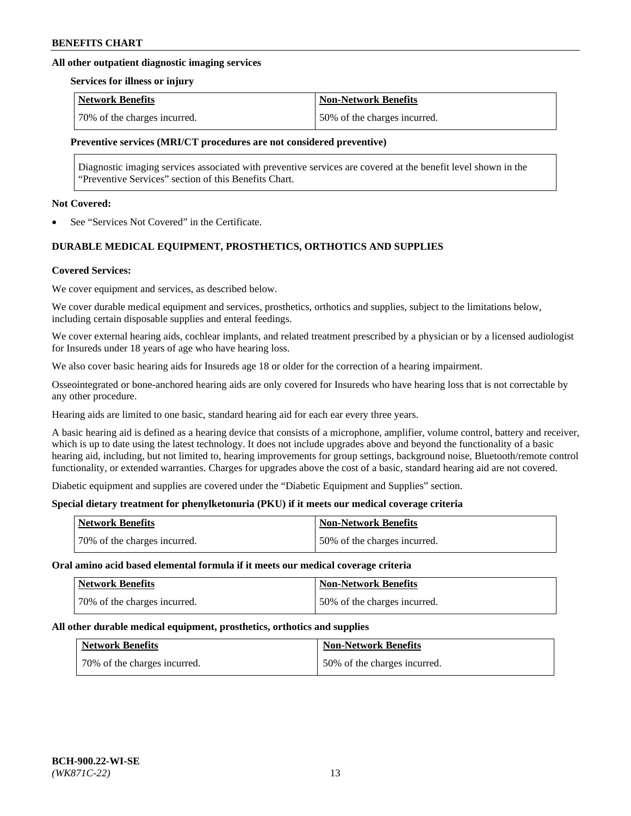## **All other outpatient diagnostic imaging services**

### **Services for illness or injury**

| Network Benefits             | <b>Non-Network Benefits</b>  |
|------------------------------|------------------------------|
| 70% of the charges incurred. | 50% of the charges incurred. |

## **Preventive services (MRI/CT procedures are not considered preventive)**

Diagnostic imaging services associated with preventive services are covered at the benefit level shown in the "Preventive Services" section of this Benefits Chart.

## **Not Covered:**

See "Services Not Covered" in the Certificate.

# **DURABLE MEDICAL EQUIPMENT, PROSTHETICS, ORTHOTICS AND SUPPLIES**

### **Covered Services:**

We cover equipment and services, as described below.

We cover durable medical equipment and services, prosthetics, orthotics and supplies, subject to the limitations below, including certain disposable supplies and enteral feedings.

We cover external hearing aids, cochlear implants, and related treatment prescribed by a physician or by a licensed audiologist for Insureds under 18 years of age who have hearing loss.

We also cover basic hearing aids for Insureds age 18 or older for the correction of a hearing impairment.

Osseointegrated or bone-anchored hearing aids are only covered for Insureds who have hearing loss that is not correctable by any other procedure.

Hearing aids are limited to one basic, standard hearing aid for each ear every three years.

A basic hearing aid is defined as a hearing device that consists of a microphone, amplifier, volume control, battery and receiver, which is up to date using the latest technology. It does not include upgrades above and beyond the functionality of a basic hearing aid, including, but not limited to, hearing improvements for group settings, background noise, Bluetooth/remote control functionality, or extended warranties. Charges for upgrades above the cost of a basic, standard hearing aid are not covered.

Diabetic equipment and supplies are covered under the "Diabetic Equipment and Supplies" section.

## **Special dietary treatment for phenylketonuria (PKU) if it meets our medical coverage criteria**

| <b>Network Benefits</b>      | <b>Non-Network Benefits</b>  |
|------------------------------|------------------------------|
| 70% of the charges incurred. | 50% of the charges incurred. |

### **Oral amino acid based elemental formula if it meets our medical coverage criteria**

| <b>Network Benefits</b>      | <b>Non-Network Benefits</b>  |
|------------------------------|------------------------------|
| 70% of the charges incurred. | 50% of the charges incurred. |

### **All other durable medical equipment, prosthetics, orthotics and supplies**

| <b>Network Benefits</b>      | <b>Non-Network Benefits</b>  |
|------------------------------|------------------------------|
| 70% of the charges incurred. | 50% of the charges incurred. |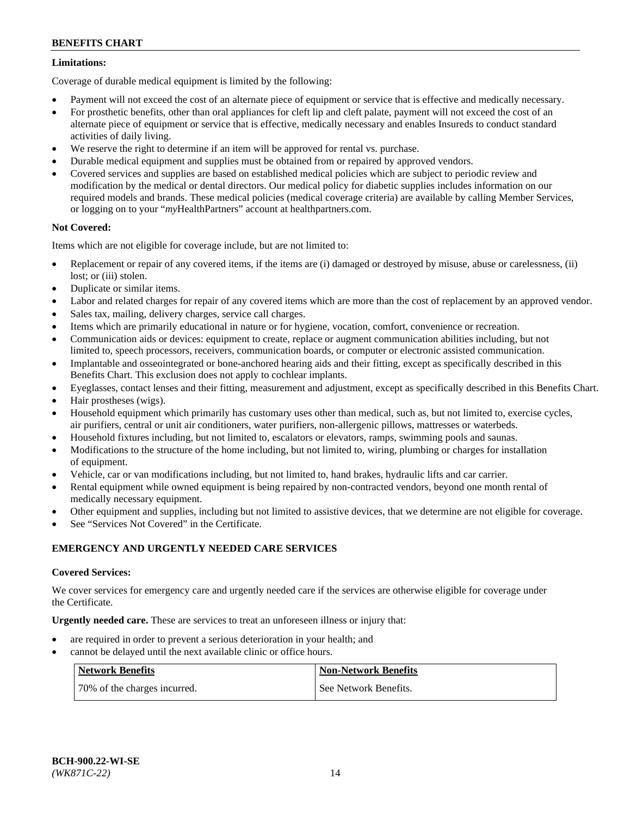# **Limitations:**

Coverage of durable medical equipment is limited by the following:

- Payment will not exceed the cost of an alternate piece of equipment or service that is effective and medically necessary.
- For prosthetic benefits, other than oral appliances for cleft lip and cleft palate, payment will not exceed the cost of an alternate piece of equipment or service that is effective, medically necessary and enables Insureds to conduct standard activities of daily living.
- We reserve the right to determine if an item will be approved for rental vs. purchase.
- Durable medical equipment and supplies must be obtained from or repaired by approved vendors.
- Covered services and supplies are based on established medical policies which are subject to periodic review and modification by the medical or dental directors. Our medical policy for diabetic supplies includes information on our required models and brands. These medical policies (medical coverage criteria) are available by calling Member Services, or logging on to your "*my*HealthPartners" account a[t healthpartners.com.](http://www.healthpartners.com/)

# **Not Covered:**

Items which are not eligible for coverage include, but are not limited to:

- Replacement or repair of any covered items, if the items are (i) damaged or destroyed by misuse, abuse or carelessness, (ii) lost; or (iii) stolen.
- Duplicate or similar items.
- Labor and related charges for repair of any covered items which are more than the cost of replacement by an approved vendor.
- Sales tax, mailing, delivery charges, service call charges.
- Items which are primarily educational in nature or for hygiene, vocation, comfort, convenience or recreation.
- Communication aids or devices: equipment to create, replace or augment communication abilities including, but not limited to, speech processors, receivers, communication boards, or computer or electronic assisted communication.
- Implantable and osseointegrated or bone-anchored hearing aids and their fitting, except as specifically described in this Benefits Chart. This exclusion does not apply to cochlear implants.
- Eyeglasses, contact lenses and their fitting, measurement and adjustment, except as specifically described in this Benefits Chart.
- Hair prostheses (wigs).
- Household equipment which primarily has customary uses other than medical, such as, but not limited to, exercise cycles, air purifiers, central or unit air conditioners, water purifiers, non-allergenic pillows, mattresses or waterbeds.
- Household fixtures including, but not limited to, escalators or elevators, ramps, swimming pools and saunas.
- Modifications to the structure of the home including, but not limited to, wiring, plumbing or charges for installation of equipment.
- Vehicle, car or van modifications including, but not limited to, hand brakes, hydraulic lifts and car carrier.
- Rental equipment while owned equipment is being repaired by non-contracted vendors, beyond one month rental of medically necessary equipment.
- Other equipment and supplies, including but not limited to assistive devices, that we determine are not eligible for coverage.
- See "Services Not Covered" in the Certificate.

## **EMERGENCY AND URGENTLY NEEDED CARE SERVICES**

## **Covered Services:**

We cover services for emergency care and urgently needed care if the services are otherwise eligible for coverage under the Certificate.

**Urgently needed care.** These are services to treat an unforeseen illness or injury that:

- are required in order to prevent a serious deterioration in your health; and
- cannot be delayed until the next available clinic or office hours.

| <b>Network Benefits</b>      | <b>Non-Network Benefits</b> |
|------------------------------|-----------------------------|
| 70% of the charges incurred. | See Network Benefits.       |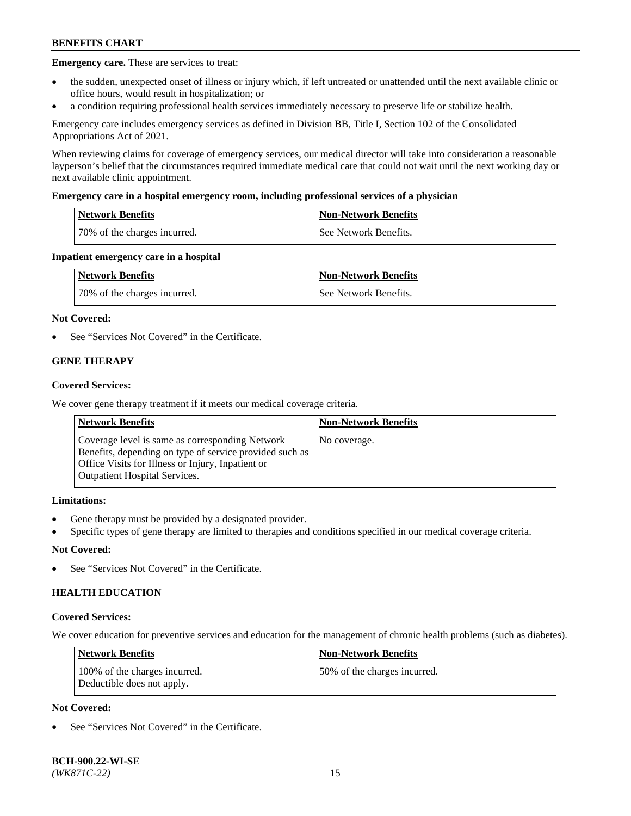**Emergency care.** These are services to treat:

- the sudden, unexpected onset of illness or injury which, if left untreated or unattended until the next available clinic or office hours, would result in hospitalization; or
- a condition requiring professional health services immediately necessary to preserve life or stabilize health.

Emergency care includes emergency services as defined in Division BB, Title I, Section 102 of the Consolidated Appropriations Act of 2021.

When reviewing claims for coverage of emergency services, our medical director will take into consideration a reasonable layperson's belief that the circumstances required immediate medical care that could not wait until the next working day or next available clinic appointment.

## **Emergency care in a hospital emergency room, including professional services of a physician**

| Network Benefits             | <b>Non-Network Benefits</b> |
|------------------------------|-----------------------------|
| 70% of the charges incurred. | See Network Benefits.       |

## **Inpatient emergency care in a hospital**

| <b>Network Benefits</b>      | Non-Network Benefits  |
|------------------------------|-----------------------|
| 70% of the charges incurred. | See Network Benefits. |

## **Not Covered:**

See "Services Not Covered" in the Certificate.

## **GENE THERAPY**

## **Covered Services:**

We cover gene therapy treatment if it meets our medical coverage criteria.

| <b>Network Benefits</b>                                                                                                                                                                                 | <b>Non-Network Benefits</b> |
|---------------------------------------------------------------------------------------------------------------------------------------------------------------------------------------------------------|-----------------------------|
| Coverage level is same as corresponding Network<br>Benefits, depending on type of service provided such as<br>Office Visits for Illness or Injury, Inpatient or<br><b>Outpatient Hospital Services.</b> | No coverage.                |

## **Limitations:**

- Gene therapy must be provided by a designated provider.
- Specific types of gene therapy are limited to therapies and conditions specified in our medical coverage criteria.

## **Not Covered:**

See "Services Not Covered" in the Certificate.

## **HEALTH EDUCATION**

### **Covered Services:**

We cover education for preventive services and education for the management of chronic health problems (such as diabetes).

| <b>Network Benefits</b>                                     | <b>Non-Network Benefits</b>  |
|-------------------------------------------------------------|------------------------------|
| 100% of the charges incurred.<br>Deductible does not apply. | 50% of the charges incurred. |

# **Not Covered:**

See "Services Not Covered" in the Certificate.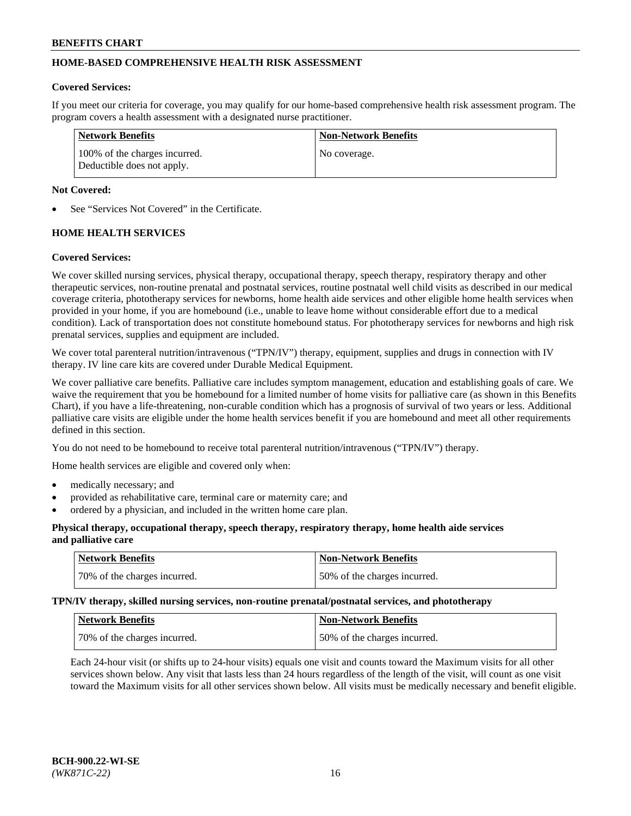# **HOME-BASED COMPREHENSIVE HEALTH RISK ASSESSMENT**

### **Covered Services:**

If you meet our criteria for coverage, you may qualify for our home-based comprehensive health risk assessment program. The program covers a health assessment with a designated nurse practitioner.

| Network Benefits                                            | <b>Non-Network Benefits</b> |
|-------------------------------------------------------------|-----------------------------|
| 100% of the charges incurred.<br>Deductible does not apply. | No coverage.                |

## **Not Covered:**

See "Services Not Covered" in the Certificate.

# **HOME HEALTH SERVICES**

## **Covered Services:**

We cover skilled nursing services, physical therapy, occupational therapy, speech therapy, respiratory therapy and other therapeutic services, non-routine prenatal and postnatal services, routine postnatal well child visits as described in our medical coverage criteria, phototherapy services for newborns, home health aide services and other eligible home health services when provided in your home, if you are homebound (i.e., unable to leave home without considerable effort due to a medical condition). Lack of transportation does not constitute homebound status. For phototherapy services for newborns and high risk prenatal services, supplies and equipment are included.

We cover total parenteral nutrition/intravenous ("TPN/IV") therapy, equipment, supplies and drugs in connection with IV therapy. IV line care kits are covered under Durable Medical Equipment.

We cover palliative care benefits. Palliative care includes symptom management, education and establishing goals of care. We waive the requirement that you be homebound for a limited number of home visits for palliative care (as shown in this Benefits Chart), if you have a life-threatening, non-curable condition which has a prognosis of survival of two years or less. Additional palliative care visits are eligible under the home health services benefit if you are homebound and meet all other requirements defined in this section.

You do not need to be homebound to receive total parenteral nutrition/intravenous ("TPN/IV") therapy.

Home health services are eligible and covered only when:

- medically necessary; and
- provided as rehabilitative care, terminal care or maternity care; and
- ordered by a physician, and included in the written home care plan.

## **Physical therapy, occupational therapy, speech therapy, respiratory therapy, home health aide services and palliative care**

| Network Benefits             | <b>Non-Network Benefits</b>  |
|------------------------------|------------------------------|
| 70% of the charges incurred. | 50% of the charges incurred. |

**TPN/IV therapy, skilled nursing services, non-routine prenatal/postnatal services, and phototherapy**

| <b>Network Benefits</b>       | <b>Non-Network Benefits</b>  |
|-------------------------------|------------------------------|
| 170% of the charges incurred. | 50% of the charges incurred. |

Each 24-hour visit (or shifts up to 24-hour visits) equals one visit and counts toward the Maximum visits for all other services shown below. Any visit that lasts less than 24 hours regardless of the length of the visit, will count as one visit toward the Maximum visits for all other services shown below. All visits must be medically necessary and benefit eligible.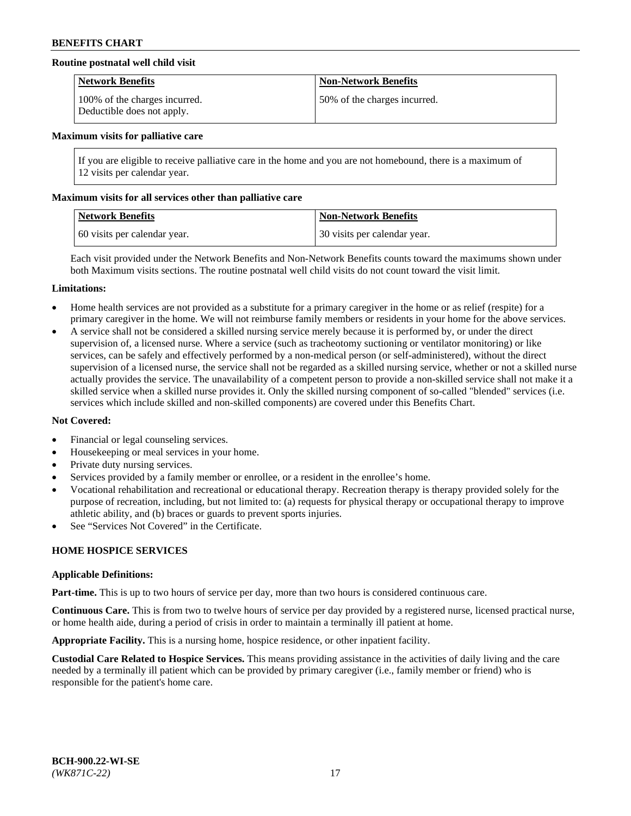## **Routine postnatal well child visit**

| <b>Network Benefits</b>                                     | <b>Non-Network Benefits</b>  |
|-------------------------------------------------------------|------------------------------|
| 100% of the charges incurred.<br>Deductible does not apply. | 50% of the charges incurred. |

### **Maximum visits for palliative care**

If you are eligible to receive palliative care in the home and you are not homebound, there is a maximum of 12 visits per calendar year.

## **Maximum visits for all services other than palliative care**

| Network Benefits             | <b>Non-Network Benefits</b>  |
|------------------------------|------------------------------|
| 60 visits per calendar year. | 30 visits per calendar year. |

Each visit provided under the Network Benefits and Non-Network Benefits counts toward the maximums shown under both Maximum visits sections. The routine postnatal well child visits do not count toward the visit limit.

### **Limitations:**

- Home health services are not provided as a substitute for a primary caregiver in the home or as relief (respite) for a primary caregiver in the home. We will not reimburse family members or residents in your home for the above services.
- A service shall not be considered a skilled nursing service merely because it is performed by, or under the direct supervision of, a licensed nurse. Where a service (such as tracheotomy suctioning or ventilator monitoring) or like services, can be safely and effectively performed by a non-medical person (or self-administered), without the direct supervision of a licensed nurse, the service shall not be regarded as a skilled nursing service, whether or not a skilled nurse actually provides the service. The unavailability of a competent person to provide a non-skilled service shall not make it a skilled service when a skilled nurse provides it. Only the skilled nursing component of so-called "blended" services (i.e. services which include skilled and non-skilled components) are covered under this Benefits Chart.

## **Not Covered:**

- Financial or legal counseling services.
- Housekeeping or meal services in your home.
- Private duty nursing services.
- Services provided by a family member or enrollee, or a resident in the enrollee's home.
- Vocational rehabilitation and recreational or educational therapy. Recreation therapy is therapy provided solely for the purpose of recreation, including, but not limited to: (a) requests for physical therapy or occupational therapy to improve athletic ability, and (b) braces or guards to prevent sports injuries.
- See "Services Not Covered" in the Certificate.

# **HOME HOSPICE SERVICES**

### **Applicable Definitions:**

**Part-time.** This is up to two hours of service per day, more than two hours is considered continuous care.

**Continuous Care.** This is from two to twelve hours of service per day provided by a registered nurse, licensed practical nurse, or home health aide, during a period of crisis in order to maintain a terminally ill patient at home.

**Appropriate Facility.** This is a nursing home, hospice residence, or other inpatient facility.

**Custodial Care Related to Hospice Services.** This means providing assistance in the activities of daily living and the care needed by a terminally ill patient which can be provided by primary caregiver (i.e., family member or friend) who is responsible for the patient's home care.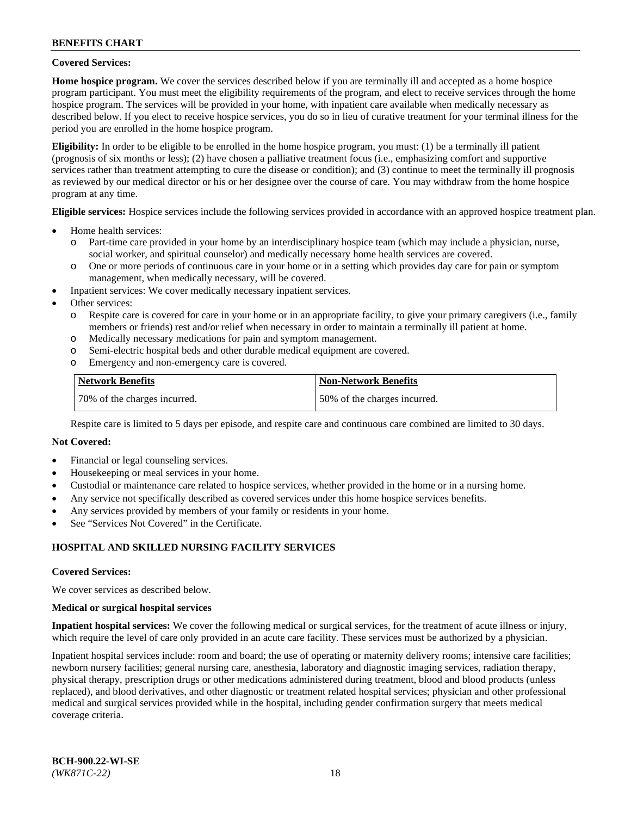## **Covered Services:**

**Home hospice program.** We cover the services described below if you are terminally ill and accepted as a home hospice program participant. You must meet the eligibility requirements of the program, and elect to receive services through the home hospice program. The services will be provided in your home, with inpatient care available when medically necessary as described below. If you elect to receive hospice services, you do so in lieu of curative treatment for your terminal illness for the period you are enrolled in the home hospice program.

**Eligibility:** In order to be eligible to be enrolled in the home hospice program, you must: (1) be a terminally ill patient (prognosis of six months or less); (2) have chosen a palliative treatment focus (i.e., emphasizing comfort and supportive services rather than treatment attempting to cure the disease or condition); and (3) continue to meet the terminally ill prognosis as reviewed by our medical director or his or her designee over the course of care. You may withdraw from the home hospice program at any time.

**Eligible services:** Hospice services include the following services provided in accordance with an approved hospice treatment plan.

- Home health services:
	- o Part-time care provided in your home by an interdisciplinary hospice team (which may include a physician, nurse, social worker, and spiritual counselor) and medically necessary home health services are covered.
	- o One or more periods of continuous care in your home or in a setting which provides day care for pain or symptom management, when medically necessary, will be covered.
- Inpatient services: We cover medically necessary inpatient services.
- Other services:
	- o Respite care is covered for care in your home or in an appropriate facility, to give your primary caregivers (i.e., family members or friends) rest and/or relief when necessary in order to maintain a terminally ill patient at home.
	- o Medically necessary medications for pain and symptom management.
	- o Semi-electric hospital beds and other durable medical equipment are covered.
	- Emergency and non-emergency care is covered.

| Network Benefits             | <b>Non-Network Benefits</b>  |
|------------------------------|------------------------------|
| 70% of the charges incurred. | 50% of the charges incurred. |

Respite care is limited to 5 days per episode, and respite care and continuous care combined are limited to 30 days.

# **Not Covered:**

- Financial or legal counseling services.
- Housekeeping or meal services in your home.
- Custodial or maintenance care related to hospice services, whether provided in the home or in a nursing home.
- Any service not specifically described as covered services under this home hospice services benefits.
- Any services provided by members of your family or residents in your home.
- See "Services Not Covered" in the Certificate.

## **HOSPITAL AND SKILLED NURSING FACILITY SERVICES**

### **Covered Services:**

We cover services as described below.

### **Medical or surgical hospital services**

**Inpatient hospital services:** We cover the following medical or surgical services, for the treatment of acute illness or injury, which require the level of care only provided in an acute care facility. These services must be authorized by a physician.

Inpatient hospital services include: room and board; the use of operating or maternity delivery rooms; intensive care facilities; newborn nursery facilities; general nursing care, anesthesia, laboratory and diagnostic imaging services, radiation therapy, physical therapy, prescription drugs or other medications administered during treatment, blood and blood products (unless replaced), and blood derivatives, and other diagnostic or treatment related hospital services; physician and other professional medical and surgical services provided while in the hospital, including gender confirmation surgery that meets medical coverage criteria.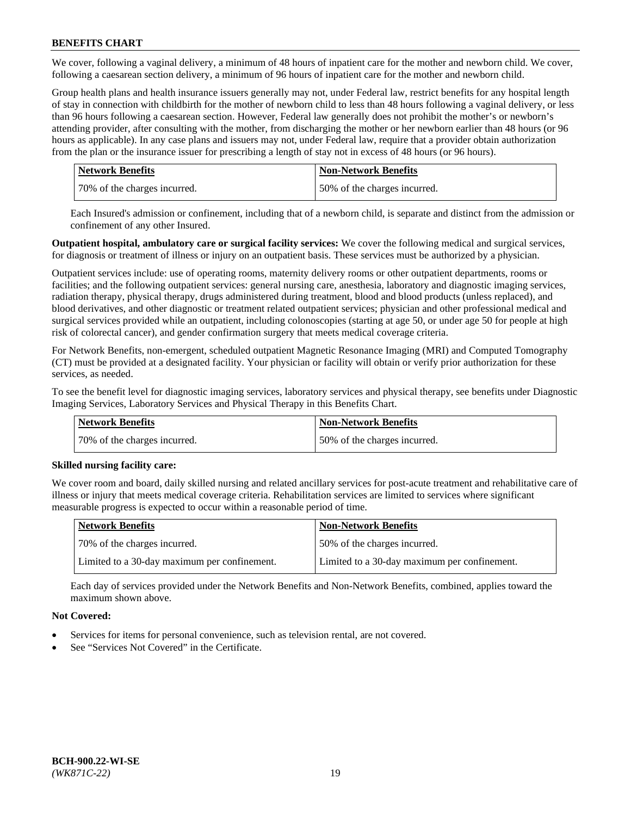We cover, following a vaginal delivery, a minimum of 48 hours of inpatient care for the mother and newborn child. We cover, following a caesarean section delivery, a minimum of 96 hours of inpatient care for the mother and newborn child.

Group health plans and health insurance issuers generally may not, under Federal law, restrict benefits for any hospital length of stay in connection with childbirth for the mother of newborn child to less than 48 hours following a vaginal delivery, or less than 96 hours following a caesarean section. However, Federal law generally does not prohibit the mother's or newborn's attending provider, after consulting with the mother, from discharging the mother or her newborn earlier than 48 hours (or 96 hours as applicable). In any case plans and issuers may not, under Federal law, require that a provider obtain authorization from the plan or the insurance issuer for prescribing a length of stay not in excess of 48 hours (or 96 hours).

| <b>Network Benefits</b>      | <b>Non-Network Benefits</b>  |
|------------------------------|------------------------------|
| 70% of the charges incurred. | 50% of the charges incurred. |

Each Insured's admission or confinement, including that of a newborn child, is separate and distinct from the admission or confinement of any other Insured.

**Outpatient hospital, ambulatory care or surgical facility services:** We cover the following medical and surgical services, for diagnosis or treatment of illness or injury on an outpatient basis. These services must be authorized by a physician.

Outpatient services include: use of operating rooms, maternity delivery rooms or other outpatient departments, rooms or facilities; and the following outpatient services: general nursing care, anesthesia, laboratory and diagnostic imaging services, radiation therapy, physical therapy, drugs administered during treatment, blood and blood products (unless replaced), and blood derivatives, and other diagnostic or treatment related outpatient services; physician and other professional medical and surgical services provided while an outpatient, including colonoscopies (starting at age 50, or under age 50 for people at high risk of colorectal cancer), and gender confirmation surgery that meets medical coverage criteria.

For Network Benefits, non-emergent, scheduled outpatient Magnetic Resonance Imaging (MRI) and Computed Tomography (CT) must be provided at a designated facility. Your physician or facility will obtain or verify prior authorization for these services, as needed.

To see the benefit level for diagnostic imaging services, laboratory services and physical therapy, see benefits under Diagnostic Imaging Services, Laboratory Services and Physical Therapy in this Benefits Chart.

| <b>Network Benefits</b>      | <b>Non-Network Benefits</b>  |
|------------------------------|------------------------------|
| 70% of the charges incurred. | 50% of the charges incurred. |

## **Skilled nursing facility care:**

We cover room and board, daily skilled nursing and related ancillary services for post-acute treatment and rehabilitative care of illness or injury that meets medical coverage criteria. Rehabilitation services are limited to services where significant measurable progress is expected to occur within a reasonable period of time.

| Network Benefits                             | <b>Non-Network Benefits</b>                  |
|----------------------------------------------|----------------------------------------------|
| 170% of the charges incurred.                | 50% of the charges incurred.                 |
| Limited to a 30-day maximum per confinement. | Limited to a 30-day maximum per confinement. |

Each day of services provided under the Network Benefits and Non-Network Benefits, combined, applies toward the maximum shown above.

## **Not Covered:**

- Services for items for personal convenience, such as television rental, are not covered.
- See "Services Not Covered" in the Certificate.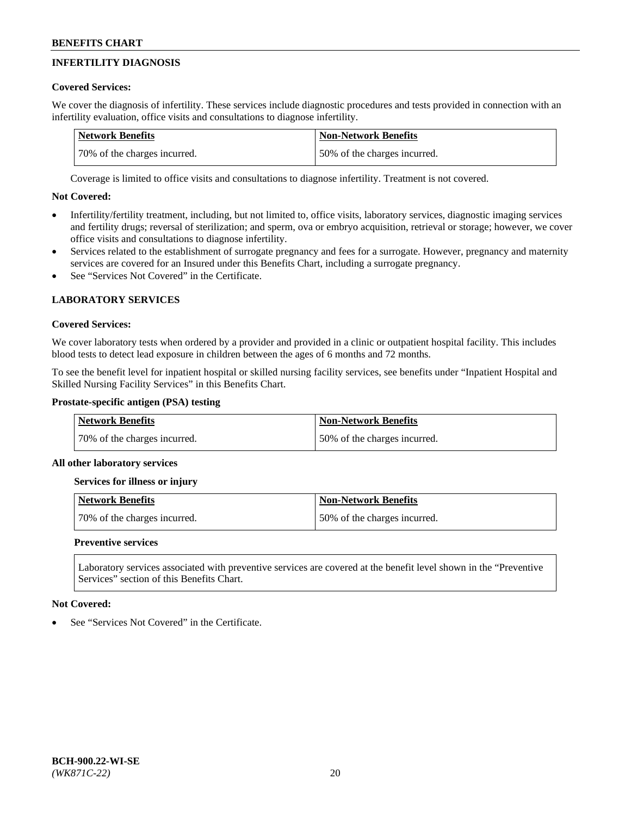# **INFERTILITY DIAGNOSIS**

# **Covered Services:**

We cover the diagnosis of infertility. These services include diagnostic procedures and tests provided in connection with an infertility evaluation, office visits and consultations to diagnose infertility.

| <b>Network Benefits</b>      | <b>Non-Network Benefits</b>  |
|------------------------------|------------------------------|
| 70% of the charges incurred. | 50% of the charges incurred. |

Coverage is limited to office visits and consultations to diagnose infertility. Treatment is not covered.

# **Not Covered:**

- Infertility/fertility treatment, including, but not limited to, office visits, laboratory services, diagnostic imaging services and fertility drugs; reversal of sterilization; and sperm, ova or embryo acquisition, retrieval or storage; however, we cover office visits and consultations to diagnose infertility.
- Services related to the establishment of surrogate pregnancy and fees for a surrogate. However, pregnancy and maternity services are covered for an Insured under this Benefits Chart, including a surrogate pregnancy.
- See "Services Not Covered" in the Certificate.

# **LABORATORY SERVICES**

## **Covered Services:**

We cover laboratory tests when ordered by a provider and provided in a clinic or outpatient hospital facility. This includes blood tests to detect lead exposure in children between the ages of 6 months and 72 months.

To see the benefit level for inpatient hospital or skilled nursing facility services, see benefits under "Inpatient Hospital and Skilled Nursing Facility Services" in this Benefits Chart.

## **Prostate-specific antigen (PSA) testing**

| <b>Network Benefits</b>      | <b>Non-Network Benefits</b>  |
|------------------------------|------------------------------|
| 70% of the charges incurred. | 50% of the charges incurred. |

## **All other laboratory services**

**Services for illness or injury**

| Network Benefits             | Non-Network Benefits         |
|------------------------------|------------------------------|
| 70% of the charges incurred. | 50% of the charges incurred. |

## **Preventive services**

Laboratory services associated with preventive services are covered at the benefit level shown in the "Preventive Services" section of this Benefits Chart.

## **Not Covered:**

See "Services Not Covered" in the Certificate.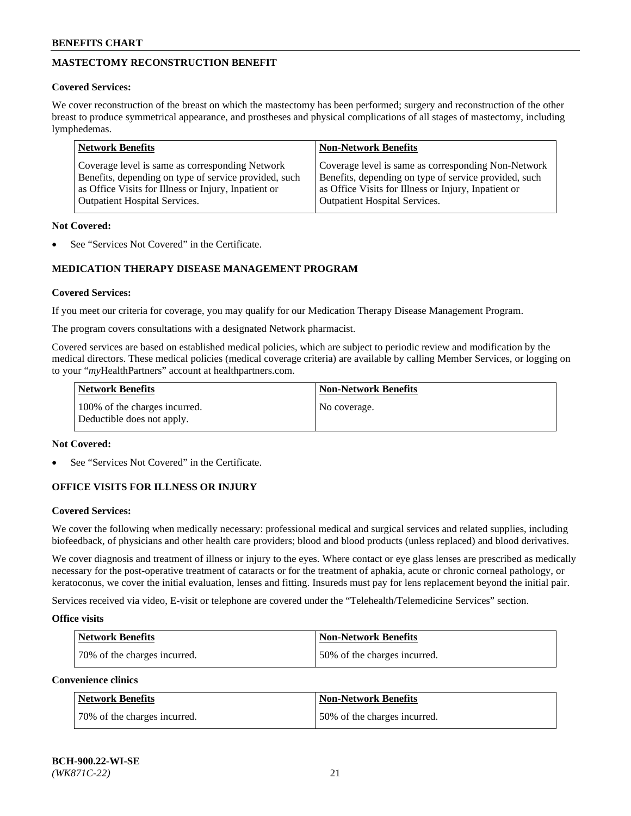# **MASTECTOMY RECONSTRUCTION BENEFIT**

## **Covered Services:**

We cover reconstruction of the breast on which the mastectomy has been performed; surgery and reconstruction of the other breast to produce symmetrical appearance, and prostheses and physical complications of all stages of mastectomy, including lymphedemas.

| <b>Network Benefits</b>                               | <b>Non-Network Benefits</b>                           |
|-------------------------------------------------------|-------------------------------------------------------|
| Coverage level is same as corresponding Network       | Coverage level is same as corresponding Non-Network   |
| Benefits, depending on type of service provided, such | Benefits, depending on type of service provided, such |
| as Office Visits for Illness or Injury, Inpatient or  | as Office Visits for Illness or Injury, Inpatient or  |
| <b>Outpatient Hospital Services.</b>                  | <b>Outpatient Hospital Services.</b>                  |

## **Not Covered:**

See "Services Not Covered" in the Certificate.

# **MEDICATION THERAPY DISEASE MANAGEMENT PROGRAM**

## **Covered Services:**

If you meet our criteria for coverage, you may qualify for our Medication Therapy Disease Management Program.

The program covers consultations with a designated Network pharmacist.

Covered services are based on established medical policies, which are subject to periodic review and modification by the medical directors. These medical policies (medical coverage criteria) are available by calling Member Services, or logging on to your "*my*HealthPartners" account at [healthpartners.com.](http://www.healthpartners.com/)

| Network Benefits                                            | <b>Non-Network Benefits</b> |
|-------------------------------------------------------------|-----------------------------|
| 100% of the charges incurred.<br>Deductible does not apply. | No coverage.                |

## **Not Covered:**

See "Services Not Covered" in the Certificate.

## **OFFICE VISITS FOR ILLNESS OR INJURY**

### **Covered Services:**

We cover the following when medically necessary: professional medical and surgical services and related supplies, including biofeedback, of physicians and other health care providers; blood and blood products (unless replaced) and blood derivatives.

We cover diagnosis and treatment of illness or injury to the eyes. Where contact or eye glass lenses are prescribed as medically necessary for the post-operative treatment of cataracts or for the treatment of aphakia, acute or chronic corneal pathology, or keratoconus, we cover the initial evaluation, lenses and fitting. Insureds must pay for lens replacement beyond the initial pair.

Services received via video, E-visit or telephone are covered under the "Telehealth/Telemedicine Services" section.

### **Office visits**

| <b>Network Benefits</b>      | <b>Non-Network Benefits</b>  |
|------------------------------|------------------------------|
| 70% of the charges incurred. | 50% of the charges incurred. |

**Convenience clinics**

| <b>Network Benefits</b>      | <b>Non-Network Benefits</b>   |
|------------------------------|-------------------------------|
| 70% of the charges incurred. | 150% of the charges incurred. |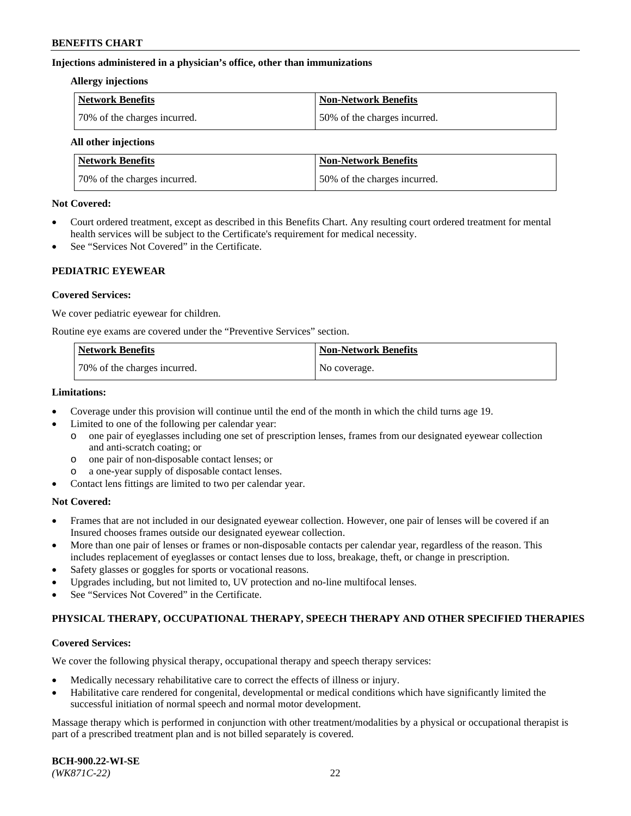## **Injections administered in a physician's office, other than immunizations**

### **Allergy injections**

| <b>Network Benefits</b>      | Non-Network Benefits         |
|------------------------------|------------------------------|
| 70% of the charges incurred. | 50% of the charges incurred. |

### **All other injections**

| <b>Network Benefits</b>      | <b>Non-Network Benefits</b>  |
|------------------------------|------------------------------|
| 70% of the charges incurred. | 50% of the charges incurred. |

## **Not Covered:**

- Court ordered treatment, except as described in this Benefits Chart. Any resulting court ordered treatment for mental health services will be subject to the Certificate's requirement for medical necessity.
- See "Services Not Covered" in the Certificate.

## **PEDIATRIC EYEWEAR**

## **Covered Services:**

We cover pediatric eyewear for children.

Routine eye exams are covered under the "Preventive Services" section.

| Network Benefits             | <b>Non-Network Benefits</b> |
|------------------------------|-----------------------------|
| 70% of the charges incurred. | No coverage.                |

## **Limitations:**

- Coverage under this provision will continue until the end of the month in which the child turns age 19.
- Limited to one of the following per calendar year:
	- o one pair of eyeglasses including one set of prescription lenses, frames from our designated eyewear collection and anti-scratch coating; or
	- o one pair of non-disposable contact lenses; or
	- o a one-year supply of disposable contact lenses.
- Contact lens fittings are limited to two per calendar year.

## **Not Covered:**

- Frames that are not included in our designated eyewear collection. However, one pair of lenses will be covered if an Insured chooses frames outside our designated eyewear collection.
- More than one pair of lenses or frames or non-disposable contacts per calendar year, regardless of the reason. This includes replacement of eyeglasses or contact lenses due to loss, breakage, theft, or change in prescription.
- Safety glasses or goggles for sports or vocational reasons.
- Upgrades including, but not limited to, UV protection and no-line multifocal lenses.
- See "Services Not Covered" in the Certificate.

## **PHYSICAL THERAPY, OCCUPATIONAL THERAPY, SPEECH THERAPY AND OTHER SPECIFIED THERAPIES**

## **Covered Services:**

We cover the following physical therapy, occupational therapy and speech therapy services:

- Medically necessary rehabilitative care to correct the effects of illness or injury.
- Habilitative care rendered for congenital, developmental or medical conditions which have significantly limited the successful initiation of normal speech and normal motor development.

Massage therapy which is performed in conjunction with other treatment/modalities by a physical or occupational therapist is part of a prescribed treatment plan and is not billed separately is covered.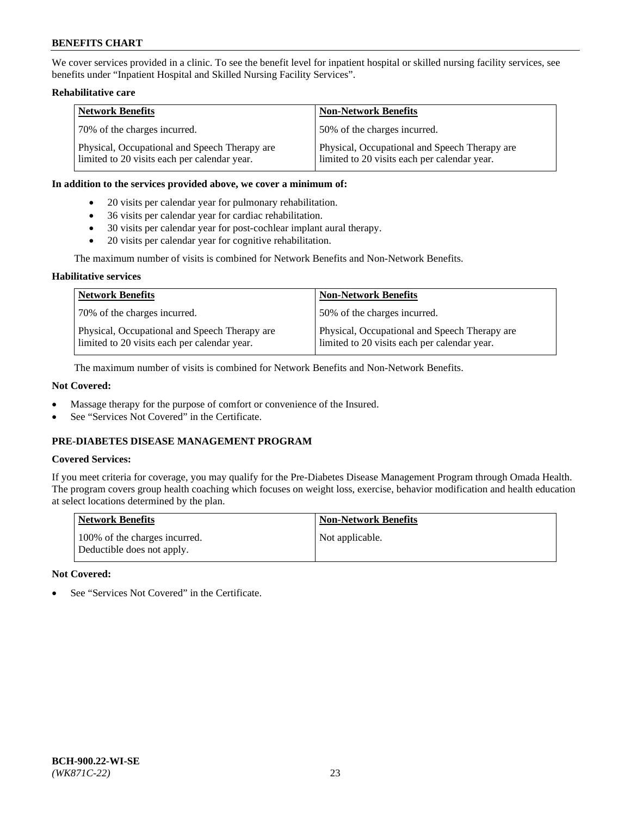We cover services provided in a clinic. To see the benefit level for inpatient hospital or skilled nursing facility services, see benefits under "Inpatient Hospital and Skilled Nursing Facility Services".

## **Rehabilitative care**

| <b>Network Benefits</b>                                                                       | <b>Non-Network Benefits</b>                                                                   |
|-----------------------------------------------------------------------------------------------|-----------------------------------------------------------------------------------------------|
| 70% of the charges incurred.                                                                  | 50% of the charges incurred.                                                                  |
| Physical, Occupational and Speech Therapy are<br>limited to 20 visits each per calendar year. | Physical, Occupational and Speech Therapy are<br>limited to 20 visits each per calendar year. |

## **In addition to the services provided above, we cover a minimum of:**

- 20 visits per calendar year for pulmonary rehabilitation.
- 36 visits per calendar year for cardiac rehabilitation.
- 30 visits per calendar year for post-cochlear implant aural therapy.
- 20 visits per calendar year for cognitive rehabilitation.

The maximum number of visits is combined for Network Benefits and Non-Network Benefits.

## **Habilitative services**

| <b>Network Benefits</b>                                                                       | <b>Non-Network Benefits</b>                                                                   |
|-----------------------------------------------------------------------------------------------|-----------------------------------------------------------------------------------------------|
| 70% of the charges incurred.                                                                  | 50% of the charges incurred.                                                                  |
| Physical, Occupational and Speech Therapy are<br>limited to 20 visits each per calendar year. | Physical, Occupational and Speech Therapy are<br>limited to 20 visits each per calendar year. |

The maximum number of visits is combined for Network Benefits and Non-Network Benefits.

## **Not Covered:**

- Massage therapy for the purpose of comfort or convenience of the Insured.
- See "Services Not Covered" in the Certificate.

# **PRE-DIABETES DISEASE MANAGEMENT PROGRAM**

## **Covered Services:**

If you meet criteria for coverage, you may qualify for the Pre-Diabetes Disease Management Program through Omada Health. The program covers group health coaching which focuses on weight loss, exercise, behavior modification and health education at select locations determined by the plan.

| <b>Network Benefits</b>                                     | <b>Non-Network Benefits</b> |
|-------------------------------------------------------------|-----------------------------|
| 100% of the charges incurred.<br>Deductible does not apply. | Not applicable.             |

## **Not Covered:**

See "Services Not Covered" in the Certificate.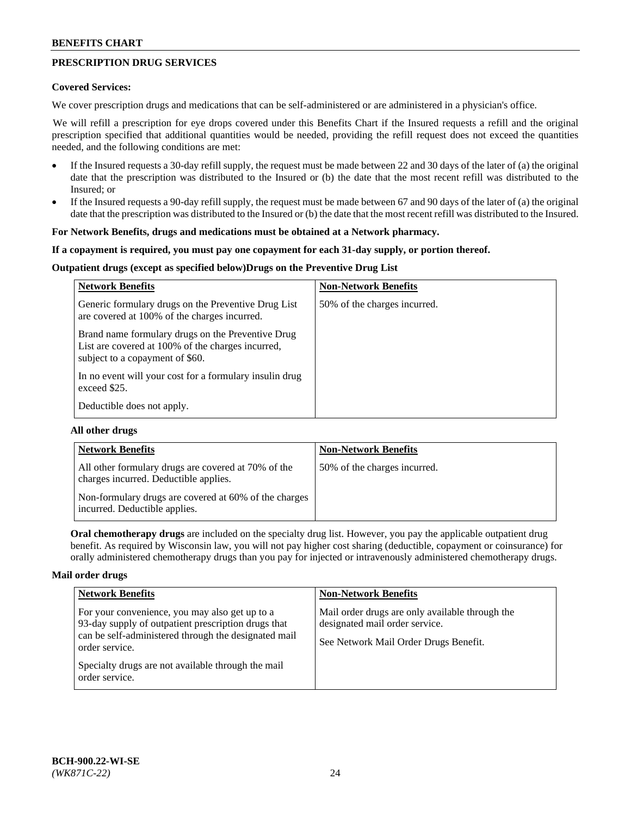# **PRESCRIPTION DRUG SERVICES**

## **Covered Services:**

We cover prescription drugs and medications that can be self-administered or are administered in a physician's office.

We will refill a prescription for eye drops covered under this Benefits Chart if the Insured requests a refill and the original prescription specified that additional quantities would be needed, providing the refill request does not exceed the quantities needed, and the following conditions are met:

- If the Insured requests a 30-day refill supply, the request must be made between 22 and 30 days of the later of (a) the original date that the prescription was distributed to the Insured or (b) the date that the most recent refill was distributed to the Insured; or
- If the Insured requests a 90-day refill supply, the request must be made between 67 and 90 days of the later of (a) the original date that the prescription was distributed to the Insured or (b) the date that the most recent refill was distributed to the Insured.

## **For Network Benefits, drugs and medications must be obtained at a Network pharmacy.**

## **If a copayment is required, you must pay one copayment for each 31-day supply, or portion thereof.**

## **Outpatient drugs (except as specified below)Drugs on the Preventive Drug List**

| <b>Network Benefits</b>                                                                                                                   | <b>Non-Network Benefits</b>  |
|-------------------------------------------------------------------------------------------------------------------------------------------|------------------------------|
| Generic formulary drugs on the Preventive Drug List<br>are covered at 100% of the charges incurred.                                       | 50% of the charges incurred. |
| Brand name formulary drugs on the Preventive Drug<br>List are covered at 100% of the charges incurred,<br>subject to a copayment of \$60. |                              |
| In no event will your cost for a formulary insulin drug<br>exceed \$25.                                                                   |                              |
| Deductible does not apply.                                                                                                                |                              |

## **All other drugs**

| <b>Network Benefits</b>                                                                      | <b>Non-Network Benefits</b>  |
|----------------------------------------------------------------------------------------------|------------------------------|
| All other formulary drugs are covered at 70% of the<br>charges incurred. Deductible applies. | 50% of the charges incurred. |
| Non-formulary drugs are covered at 60% of the charges<br>incurred. Deductible applies.       |                              |

**Oral chemotherapy drugs** are included on the specialty drug list. However, you pay the applicable outpatient drug benefit. As required by Wisconsin law, you will not pay higher cost sharing (deductible, copayment or coinsurance) for orally administered chemotherapy drugs than you pay for injected or intravenously administered chemotherapy drugs.

### **Mail order drugs**

| <b>Network Benefits</b>                                                                                                                                                         | <b>Non-Network Benefits</b>                                                                                                |
|---------------------------------------------------------------------------------------------------------------------------------------------------------------------------------|----------------------------------------------------------------------------------------------------------------------------|
| For your convenience, you may also get up to a<br>93-day supply of outpatient prescription drugs that<br>can be self-administered through the designated mail<br>order service. | Mail order drugs are only available through the<br>designated mail order service.<br>See Network Mail Order Drugs Benefit. |
| Specialty drugs are not available through the mail<br>order service.                                                                                                            |                                                                                                                            |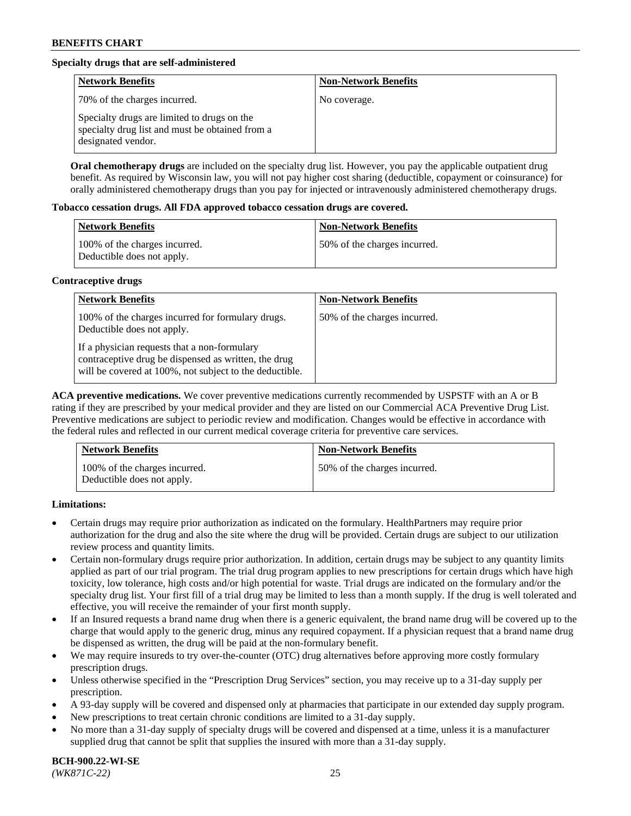## **Specialty drugs that are self-administered**

| <b>Network Benefits</b>                                                                                              | <b>Non-Network Benefits</b> |
|----------------------------------------------------------------------------------------------------------------------|-----------------------------|
| 70% of the charges incurred.                                                                                         | No coverage.                |
| Specialty drugs are limited to drugs on the<br>specialty drug list and must be obtained from a<br>designated vendor. |                             |

**Oral chemotherapy drugs** are included on the specialty drug list. However, you pay the applicable outpatient drug benefit. As required by Wisconsin law, you will not pay higher cost sharing (deductible, copayment or coinsurance) for orally administered chemotherapy drugs than you pay for injected or intravenously administered chemotherapy drugs.

## **Tobacco cessation drugs. All FDA approved tobacco cessation drugs are covered.**

| Network Benefits                                            | <b>Non-Network Benefits</b>   |
|-------------------------------------------------------------|-------------------------------|
| 100% of the charges incurred.<br>Deductible does not apply. | 150% of the charges incurred. |

## **Contraceptive drugs**

| <b>Network Benefits</b>                                                                                                                                         | <b>Non-Network Benefits</b>  |
|-----------------------------------------------------------------------------------------------------------------------------------------------------------------|------------------------------|
| 100% of the charges incurred for formulary drugs.<br>Deductible does not apply.                                                                                 | 50% of the charges incurred. |
| If a physician requests that a non-formulary<br>contraceptive drug be dispensed as written, the drug<br>will be covered at 100%, not subject to the deductible. |                              |

**ACA preventive medications.** We cover preventive medications currently recommended by USPSTF with an A or B rating if they are prescribed by your medical provider and they are listed on our Commercial ACA Preventive Drug List. Preventive medications are subject to periodic review and modification. Changes would be effective in accordance with the federal rules and reflected in our current medical coverage criteria for preventive care services.

| <b>Network Benefits</b>                                     | <b>Non-Network Benefits</b>  |
|-------------------------------------------------------------|------------------------------|
| 100% of the charges incurred.<br>Deductible does not apply. | 50% of the charges incurred. |

## **Limitations:**

- Certain drugs may require prior authorization as indicated on the formulary. HealthPartners may require prior authorization for the drug and also the site where the drug will be provided. Certain drugs are subject to our utilization review process and quantity limits.
- Certain non-formulary drugs require prior authorization. In addition, certain drugs may be subject to any quantity limits applied as part of our trial program. The trial drug program applies to new prescriptions for certain drugs which have high toxicity, low tolerance, high costs and/or high potential for waste. Trial drugs are indicated on the formulary and/or the specialty drug list. Your first fill of a trial drug may be limited to less than a month supply. If the drug is well tolerated and effective, you will receive the remainder of your first month supply.
- If an Insured requests a brand name drug when there is a generic equivalent, the brand name drug will be covered up to the charge that would apply to the generic drug, minus any required copayment. If a physician request that a brand name drug be dispensed as written, the drug will be paid at the non-formulary benefit.
- We may require insureds to try over-the-counter (OTC) drug alternatives before approving more costly formulary prescription drugs.
- Unless otherwise specified in the "Prescription Drug Services" section, you may receive up to a 31-day supply per prescription.
- A 93-day supply will be covered and dispensed only at pharmacies that participate in our extended day supply program.
- New prescriptions to treat certain chronic conditions are limited to a 31-day supply.
- No more than a 31-day supply of specialty drugs will be covered and dispensed at a time, unless it is a manufacturer supplied drug that cannot be split that supplies the insured with more than a 31-day supply.

**BCH-900.22-WI-SE**  *(WK871C-22)* 25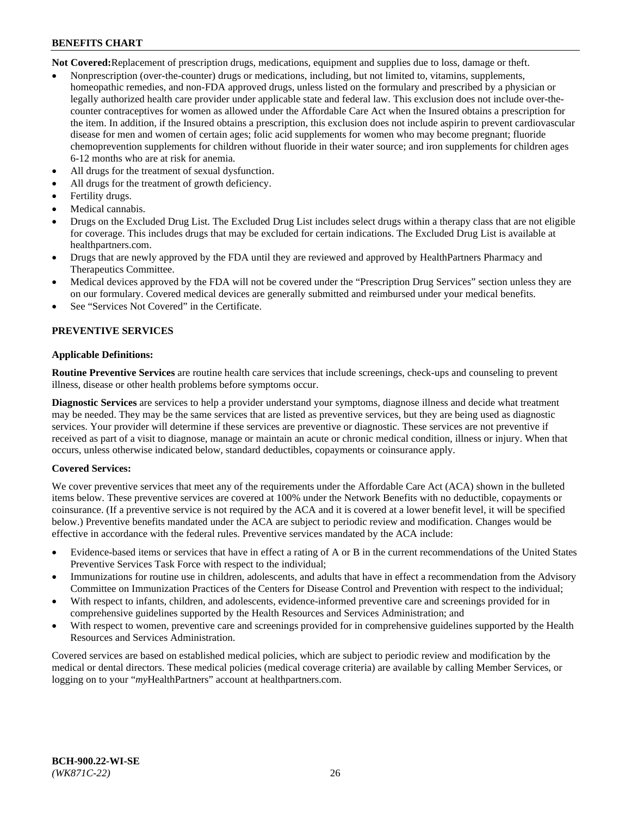**Not Covered:**Replacement of prescription drugs, medications, equipment and supplies due to loss, damage or theft.

- Nonprescription (over-the-counter) drugs or medications, including, but not limited to, vitamins, supplements, homeopathic remedies, and non-FDA approved drugs, unless listed on the formulary and prescribed by a physician or legally authorized health care provider under applicable state and federal law. This exclusion does not include over-thecounter contraceptives for women as allowed under the Affordable Care Act when the Insured obtains a prescription for the item. In addition, if the Insured obtains a prescription, this exclusion does not include aspirin to prevent cardiovascular disease for men and women of certain ages; folic acid supplements for women who may become pregnant; fluoride chemoprevention supplements for children without fluoride in their water source; and iron supplements for children ages 6-12 months who are at risk for anemia.
- All drugs for the treatment of sexual dysfunction.
- All drugs for the treatment of growth deficiency.
- Fertility drugs.
- Medical cannabis.
- Drugs on the Excluded Drug List. The Excluded Drug List includes select drugs within a therapy class that are not eligible for coverage. This includes drugs that may be excluded for certain indications. The Excluded Drug List is available at [healthpartners.com.](http://www.healthpartners.com/)
- Drugs that are newly approved by the FDA until they are reviewed and approved by HealthPartners Pharmacy and Therapeutics Committee.
- Medical devices approved by the FDA will not be covered under the "Prescription Drug Services" section unless they are on our formulary. Covered medical devices are generally submitted and reimbursed under your medical benefits.
- See "Services Not Covered" in the Certificate.

# **PREVENTIVE SERVICES**

## **Applicable Definitions:**

**Routine Preventive Services** are routine health care services that include screenings, check-ups and counseling to prevent illness, disease or other health problems before symptoms occur.

**Diagnostic Services** are services to help a provider understand your symptoms, diagnose illness and decide what treatment may be needed. They may be the same services that are listed as preventive services, but they are being used as diagnostic services. Your provider will determine if these services are preventive or diagnostic. These services are not preventive if received as part of a visit to diagnose, manage or maintain an acute or chronic medical condition, illness or injury. When that occurs, unless otherwise indicated below, standard deductibles, copayments or coinsurance apply.

## **Covered Services:**

We cover preventive services that meet any of the requirements under the Affordable Care Act (ACA) shown in the bulleted items below. These preventive services are covered at 100% under the Network Benefits with no deductible, copayments or coinsurance. (If a preventive service is not required by the ACA and it is covered at a lower benefit level, it will be specified below.) Preventive benefits mandated under the ACA are subject to periodic review and modification. Changes would be effective in accordance with the federal rules. Preventive services mandated by the ACA include:

- Evidence-based items or services that have in effect a rating of A or B in the current recommendations of the United States Preventive Services Task Force with respect to the individual;
- Immunizations for routine use in children, adolescents, and adults that have in effect a recommendation from the Advisory Committee on Immunization Practices of the Centers for Disease Control and Prevention with respect to the individual;
- With respect to infants, children, and adolescents, evidence-informed preventive care and screenings provided for in comprehensive guidelines supported by the Health Resources and Services Administration; and
- With respect to women, preventive care and screenings provided for in comprehensive guidelines supported by the Health Resources and Services Administration.

Covered services are based on established medical policies, which are subject to periodic review and modification by the medical or dental directors. These medical policies (medical coverage criteria) are available by calling Member Services, or logging on to your "*my*HealthPartners" account at [healthpartners.com.](https://www.healthpartners.com/hp/index.html)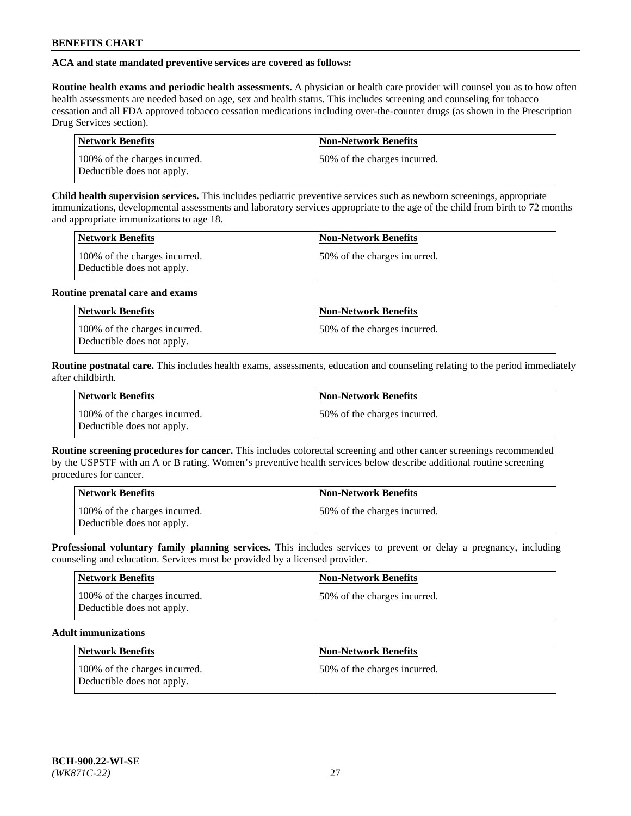## **ACA and state mandated preventive services are covered as follows:**

**Routine health exams and periodic health assessments.** A physician or health care provider will counsel you as to how often health assessments are needed based on age, sex and health status. This includes screening and counseling for tobacco cessation and all FDA approved tobacco cessation medications including over-the-counter drugs (as shown in the Prescription Drug Services section).

| <b>Network Benefits</b>                                     | <b>Non-Network Benefits</b>  |
|-------------------------------------------------------------|------------------------------|
| 100% of the charges incurred.<br>Deductible does not apply. | 50% of the charges incurred. |

**Child health supervision services.** This includes pediatric preventive services such as newborn screenings, appropriate immunizations, developmental assessments and laboratory services appropriate to the age of the child from birth to 72 months and appropriate immunizations to age 18.

| <b>Network Benefits</b>                                     | <b>Non-Network Benefits</b>  |
|-------------------------------------------------------------|------------------------------|
| 100% of the charges incurred.<br>Deductible does not apply. | 50% of the charges incurred. |

## **Routine prenatal care and exams**

| <b>Network Benefits</b>                                     | <b>Non-Network Benefits</b>  |
|-------------------------------------------------------------|------------------------------|
| 100% of the charges incurred.<br>Deductible does not apply. | 50% of the charges incurred. |

**Routine postnatal care.** This includes health exams, assessments, education and counseling relating to the period immediately after childbirth.

| <b>Network Benefits</b>                                     | <b>Non-Network Benefits</b>  |
|-------------------------------------------------------------|------------------------------|
| 100% of the charges incurred.<br>Deductible does not apply. | 50% of the charges incurred. |

**Routine screening procedures for cancer.** This includes colorectal screening and other cancer screenings recommended by the USPSTF with an A or B rating. Women's preventive health services below describe additional routine screening procedures for cancer.

| <b>Network Benefits</b>                                     | <b>Non-Network Benefits</b>   |
|-------------------------------------------------------------|-------------------------------|
| 100% of the charges incurred.<br>Deductible does not apply. | 150% of the charges incurred. |

**Professional voluntary family planning services.** This includes services to prevent or delay a pregnancy, including counseling and education. Services must be provided by a licensed provider.

| <b>Network Benefits</b>                                     | <b>Non-Network Benefits</b>  |
|-------------------------------------------------------------|------------------------------|
| 100% of the charges incurred.<br>Deductible does not apply. | 50% of the charges incurred. |

## **Adult immunizations**

| Network Benefits                                            | <b>Non-Network Benefits</b>  |
|-------------------------------------------------------------|------------------------------|
| 100% of the charges incurred.<br>Deductible does not apply. | 50% of the charges incurred. |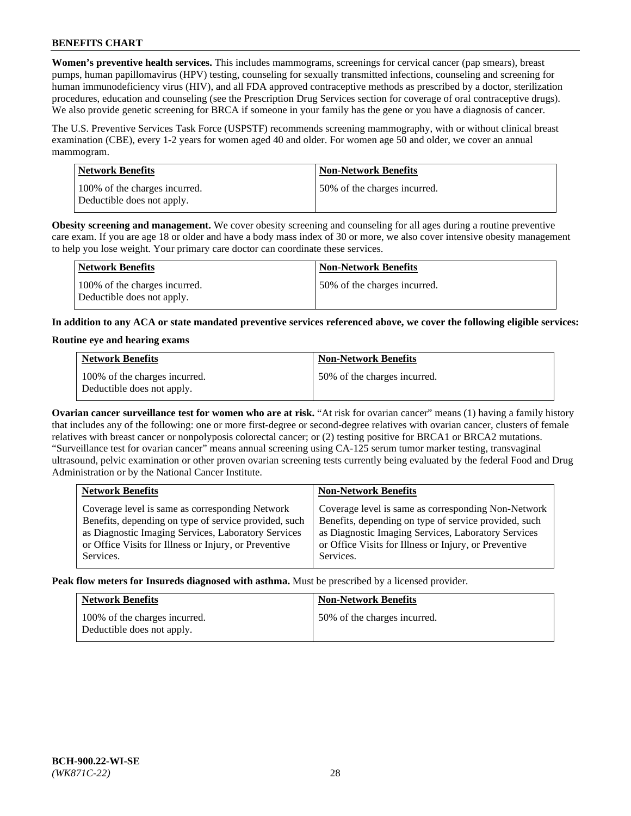**Women's preventive health services.** This includes mammograms, screenings for cervical cancer (pap smears), breast pumps, human papillomavirus (HPV) testing, counseling for sexually transmitted infections, counseling and screening for human immunodeficiency virus (HIV), and all FDA approved contraceptive methods as prescribed by a doctor, sterilization procedures, education and counseling (see the Prescription Drug Services section for coverage of oral contraceptive drugs). We also provide genetic screening for BRCA if someone in your family has the gene or you have a diagnosis of cancer.

The U.S. Preventive Services Task Force (USPSTF) recommends screening mammography, with or without clinical breast examination (CBE), every 1-2 years for women aged 40 and older. For women age 50 and older, we cover an annual mammogram.

| <b>Network Benefits</b>                                     | <b>Non-Network Benefits</b>  |
|-------------------------------------------------------------|------------------------------|
| 100% of the charges incurred.<br>Deductible does not apply. | 50% of the charges incurred. |

**Obesity screening and management.** We cover obesity screening and counseling for all ages during a routine preventive care exam. If you are age 18 or older and have a body mass index of 30 or more, we also cover intensive obesity management to help you lose weight. Your primary care doctor can coordinate these services.

| Network Benefits                                            | <b>Non-Network Benefits</b>  |
|-------------------------------------------------------------|------------------------------|
| 100% of the charges incurred.<br>Deductible does not apply. | 50% of the charges incurred. |

**In addition to any ACA or state mandated preventive services referenced above, we cover the following eligible services:**

## **Routine eye and hearing exams**

| <b>Network Benefits</b>                                     | <b>Non-Network Benefits</b>  |
|-------------------------------------------------------------|------------------------------|
| 100% of the charges incurred.<br>Deductible does not apply. | 50% of the charges incurred. |

**Ovarian cancer surveillance test for women who are at risk.** "At risk for ovarian cancer" means (1) having a family history that includes any of the following: one or more first-degree or second-degree relatives with ovarian cancer, clusters of female relatives with breast cancer or nonpolyposis colorectal cancer; or (2) testing positive for BRCA1 or BRCA2 mutations. "Surveillance test for ovarian cancer" means annual screening using CA-125 serum tumor marker testing, transvaginal ultrasound, pelvic examination or other proven ovarian screening tests currently being evaluated by the federal Food and Drug Administration or by the National Cancer Institute.

| Coverage level is same as corresponding Network<br>Coverage level is same as corresponding Non-Network<br>Benefits, depending on type of service provided, such<br>Benefits, depending on type of service provided, such                               |  |
|--------------------------------------------------------------------------------------------------------------------------------------------------------------------------------------------------------------------------------------------------------|--|
| as Diagnostic Imaging Services, Laboratory Services<br>as Diagnostic Imaging Services, Laboratory Services<br>or Office Visits for Illness or Injury, or Preventive<br>or Office Visits for Illness or Injury, or Preventive<br>Services.<br>Services. |  |

**Peak flow meters for Insureds diagnosed with asthma.** Must be prescribed by a licensed provider.

| <b>Network Benefits</b>                                     | <b>Non-Network Benefits</b>  |
|-------------------------------------------------------------|------------------------------|
| 100% of the charges incurred.<br>Deductible does not apply. | 50% of the charges incurred. |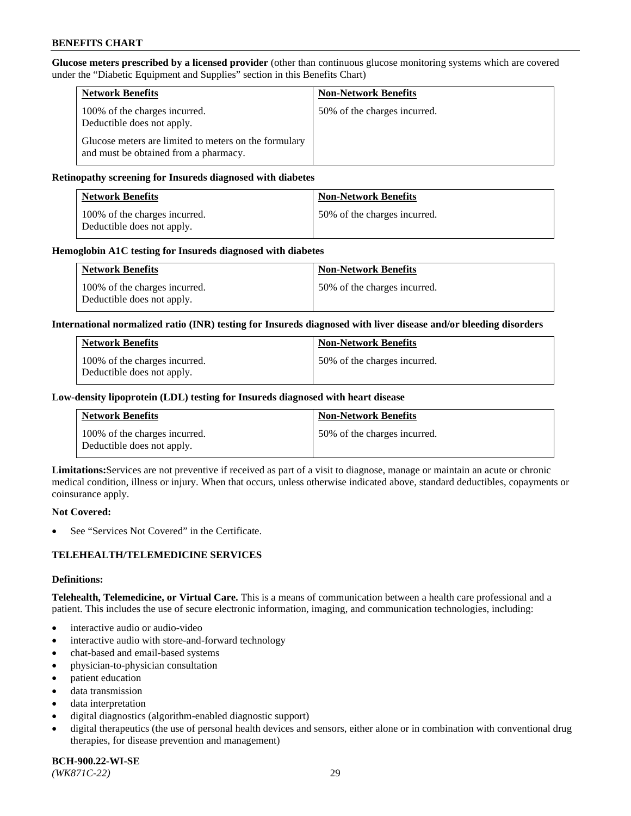**Glucose meters prescribed by a licensed provider** (other than continuous glucose monitoring systems which are covered under the "Diabetic Equipment and Supplies" section in this Benefits Chart)

| <b>Network Benefits</b>                                                                        | <b>Non-Network Benefits</b>  |
|------------------------------------------------------------------------------------------------|------------------------------|
| 100% of the charges incurred.<br>Deductible does not apply.                                    | 50% of the charges incurred. |
| Glucose meters are limited to meters on the formulary<br>and must be obtained from a pharmacy. |                              |

## **Retinopathy screening for Insureds diagnosed with diabetes**

| <b>Network Benefits</b>                                     | <b>Non-Network Benefits</b>  |
|-------------------------------------------------------------|------------------------------|
| 100% of the charges incurred.<br>Deductible does not apply. | 50% of the charges incurred. |

## **Hemoglobin A1C testing for Insureds diagnosed with diabetes**

| <b>Network Benefits</b>                                     | <b>Non-Network Benefits</b>  |
|-------------------------------------------------------------|------------------------------|
| 100% of the charges incurred.<br>Deductible does not apply. | 50% of the charges incurred. |

## **International normalized ratio (INR) testing for Insureds diagnosed with liver disease and/or bleeding disorders**

| <b>Network Benefits</b>                                     | <b>Non-Network Benefits</b>  |
|-------------------------------------------------------------|------------------------------|
| 100% of the charges incurred.<br>Deductible does not apply. | 50% of the charges incurred. |

## **Low-density lipoprotein (LDL) testing for Insureds diagnosed with heart disease**

| <b>Network Benefits</b>                                     | <b>Non-Network Benefits</b>  |
|-------------------------------------------------------------|------------------------------|
| 100% of the charges incurred.<br>Deductible does not apply. | 50% of the charges incurred. |

**Limitations:**Services are not preventive if received as part of a visit to diagnose, manage or maintain an acute or chronic medical condition, illness or injury. When that occurs, unless otherwise indicated above, standard deductibles, copayments or coinsurance apply.

### **Not Covered:**

See "Services Not Covered" in the Certificate.

## **TELEHEALTH/TELEMEDICINE SERVICES**

### **Definitions:**

**Telehealth, Telemedicine, or Virtual Care.** This is a means of communication between a health care professional and a patient. This includes the use of secure electronic information, imaging, and communication technologies, including:

- interactive audio or audio-video
- interactive audio with store-and-forward technology
- chat-based and email-based systems
- physician-to-physician consultation
- patient education
- data transmission
- data interpretation
- digital diagnostics (algorithm-enabled diagnostic support)
- digital therapeutics (the use of personal health devices and sensors, either alone or in combination with conventional drug therapies, for disease prevention and management)

**BCH-900.22-WI-SE**  *(WK871C-22)* 29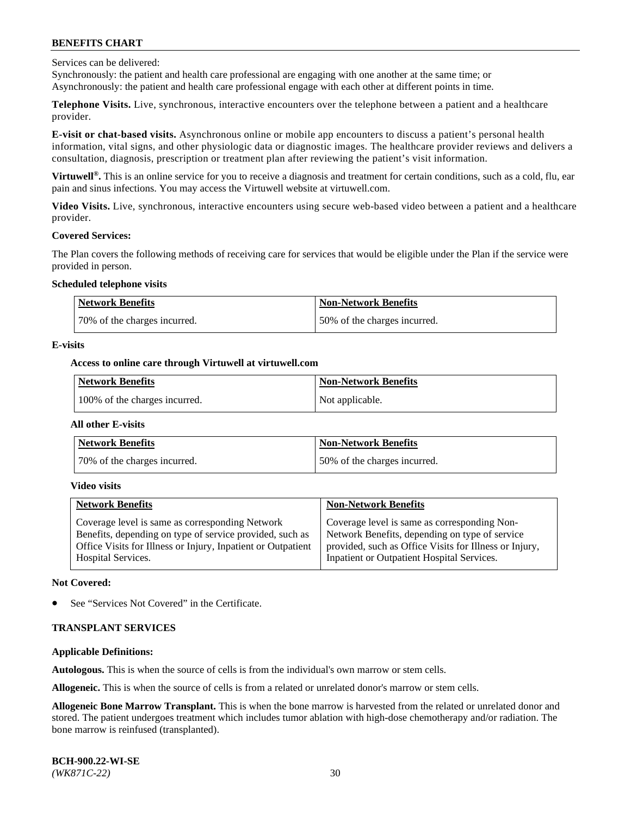Services can be delivered:

Synchronously: the patient and health care professional are engaging with one another at the same time; or Asynchronously: the patient and health care professional engage with each other at different points in time.

**Telephone Visits.** Live, synchronous, interactive encounters over the telephone between a patient and a healthcare provider.

**E-visit or chat-based visits.** Asynchronous online or mobile app encounters to discuss a patient's personal health information, vital signs, and other physiologic data or diagnostic images. The healthcare provider reviews and delivers a consultation, diagnosis, prescription or treatment plan after reviewing the patient's visit information.

**Virtuwell®.** This is an online service for you to receive a diagnosis and treatment for certain conditions, such as a cold, flu, ear pain and sinus infections. You may access the Virtuwell website at [virtuwell.com.](https://www.virtuwell.com/)

**Video Visits.** Live, synchronous, interactive encounters using secure web-based video between a patient and a healthcare provider.

### **Covered Services:**

The Plan covers the following methods of receiving care for services that would be eligible under the Plan if the service were provided in person.

### **Scheduled telephone visits**

| <b>Network Benefits</b>      | <b>Non-Network Benefits</b>  |
|------------------------------|------------------------------|
| 70% of the charges incurred. | 50% of the charges incurred. |

## **E-visits**

## **Access to online care through Virtuwell at [virtuwell.com](https://www.virtuwell.com/)**

| Network Benefits              | <b>Non-Network Benefits</b> |
|-------------------------------|-----------------------------|
| 100% of the charges incurred. | Not applicable.             |

### **All other E-visits**

| <b>Network Benefits</b>      | <b>Non-Network Benefits</b>  |
|------------------------------|------------------------------|
| 70% of the charges incurred. | 50% of the charges incurred. |

### **Video visits**

| <b>Network Benefits</b>                                      | <b>Non-Network Benefits</b>                            |
|--------------------------------------------------------------|--------------------------------------------------------|
| Coverage level is same as corresponding Network              | Coverage level is same as corresponding Non-           |
| Benefits, depending on type of service provided, such as     | Network Benefits, depending on type of service         |
| Office Visits for Illness or Injury, Inpatient or Outpatient | provided, such as Office Visits for Illness or Injury, |
| <b>Hospital Services.</b>                                    | Inpatient or Outpatient Hospital Services.             |

### **Not Covered:**

See "Services Not Covered" in the Certificate.

## **TRANSPLANT SERVICES**

## **Applicable Definitions:**

**Autologous.** This is when the source of cells is from the individual's own marrow or stem cells.

**Allogeneic.** This is when the source of cells is from a related or unrelated donor's marrow or stem cells.

**Allogeneic Bone Marrow Transplant.** This is when the bone marrow is harvested from the related or unrelated donor and stored. The patient undergoes treatment which includes tumor ablation with high-dose chemotherapy and/or radiation. The bone marrow is reinfused (transplanted).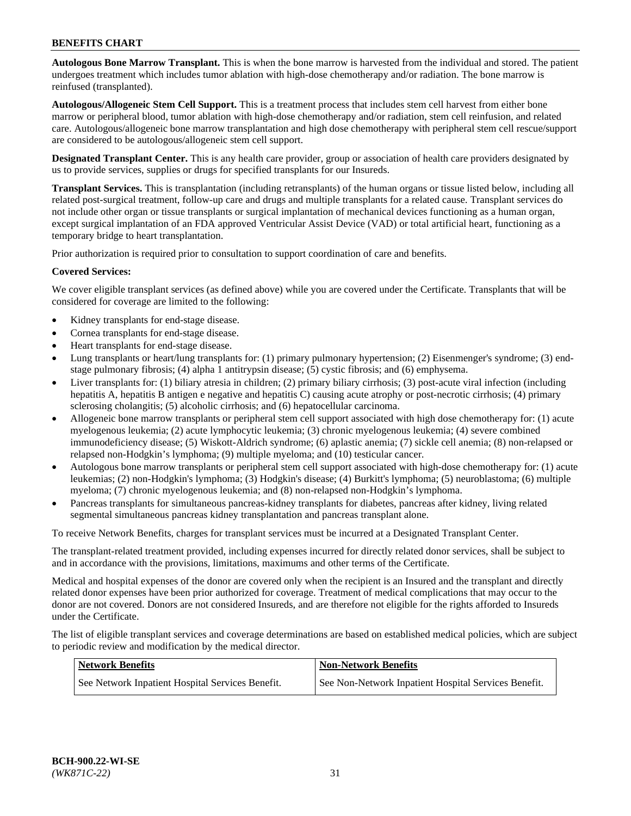**Autologous Bone Marrow Transplant.** This is when the bone marrow is harvested from the individual and stored. The patient undergoes treatment which includes tumor ablation with high-dose chemotherapy and/or radiation. The bone marrow is reinfused (transplanted).

**Autologous/Allogeneic Stem Cell Support.** This is a treatment process that includes stem cell harvest from either bone marrow or peripheral blood, tumor ablation with high-dose chemotherapy and/or radiation, stem cell reinfusion, and related care. Autologous/allogeneic bone marrow transplantation and high dose chemotherapy with peripheral stem cell rescue/support are considered to be autologous/allogeneic stem cell support.

**Designated Transplant Center.** This is any health care provider, group or association of health care providers designated by us to provide services, supplies or drugs for specified transplants for our Insureds.

**Transplant Services.** This is transplantation (including retransplants) of the human organs or tissue listed below, including all related post-surgical treatment, follow-up care and drugs and multiple transplants for a related cause. Transplant services do not include other organ or tissue transplants or surgical implantation of mechanical devices functioning as a human organ, except surgical implantation of an FDA approved Ventricular Assist Device (VAD) or total artificial heart, functioning as a temporary bridge to heart transplantation.

Prior authorization is required prior to consultation to support coordination of care and benefits.

## **Covered Services:**

We cover eligible transplant services (as defined above) while you are covered under the Certificate. Transplants that will be considered for coverage are limited to the following:

- Kidney transplants for end-stage disease.
- Cornea transplants for end-stage disease.
- Heart transplants for end-stage disease.
- Lung transplants or heart/lung transplants for: (1) primary pulmonary hypertension; (2) Eisenmenger's syndrome; (3) endstage pulmonary fibrosis; (4) alpha 1 antitrypsin disease; (5) cystic fibrosis; and (6) emphysema.
- Liver transplants for: (1) biliary atresia in children; (2) primary biliary cirrhosis; (3) post-acute viral infection (including hepatitis A, hepatitis B antigen e negative and hepatitis C) causing acute atrophy or post-necrotic cirrhosis; (4) primary sclerosing cholangitis; (5) alcoholic cirrhosis; and (6) hepatocellular carcinoma.
- Allogeneic bone marrow transplants or peripheral stem cell support associated with high dose chemotherapy for: (1) acute myelogenous leukemia; (2) acute lymphocytic leukemia; (3) chronic myelogenous leukemia; (4) severe combined immunodeficiency disease; (5) Wiskott-Aldrich syndrome; (6) aplastic anemia; (7) sickle cell anemia; (8) non-relapsed or relapsed non-Hodgkin's lymphoma; (9) multiple myeloma; and (10) testicular cancer.
- Autologous bone marrow transplants or peripheral stem cell support associated with high-dose chemotherapy for: (1) acute leukemias; (2) non-Hodgkin's lymphoma; (3) Hodgkin's disease; (4) Burkitt's lymphoma; (5) neuroblastoma; (6) multiple myeloma; (7) chronic myelogenous leukemia; and (8) non-relapsed non-Hodgkin's lymphoma.
- Pancreas transplants for simultaneous pancreas-kidney transplants for diabetes, pancreas after kidney, living related segmental simultaneous pancreas kidney transplantation and pancreas transplant alone.

To receive Network Benefits, charges for transplant services must be incurred at a Designated Transplant Center.

The transplant-related treatment provided, including expenses incurred for directly related donor services, shall be subject to and in accordance with the provisions, limitations, maximums and other terms of the Certificate.

Medical and hospital expenses of the donor are covered only when the recipient is an Insured and the transplant and directly related donor expenses have been prior authorized for coverage. Treatment of medical complications that may occur to the donor are not covered. Donors are not considered Insureds, and are therefore not eligible for the rights afforded to Insureds under the Certificate.

The list of eligible transplant services and coverage determinations are based on established medical policies, which are subject to periodic review and modification by the medical director.

| Network Benefits                                 | <b>Non-Network Benefits</b>                          |
|--------------------------------------------------|------------------------------------------------------|
| See Network Inpatient Hospital Services Benefit. | See Non-Network Inpatient Hospital Services Benefit. |